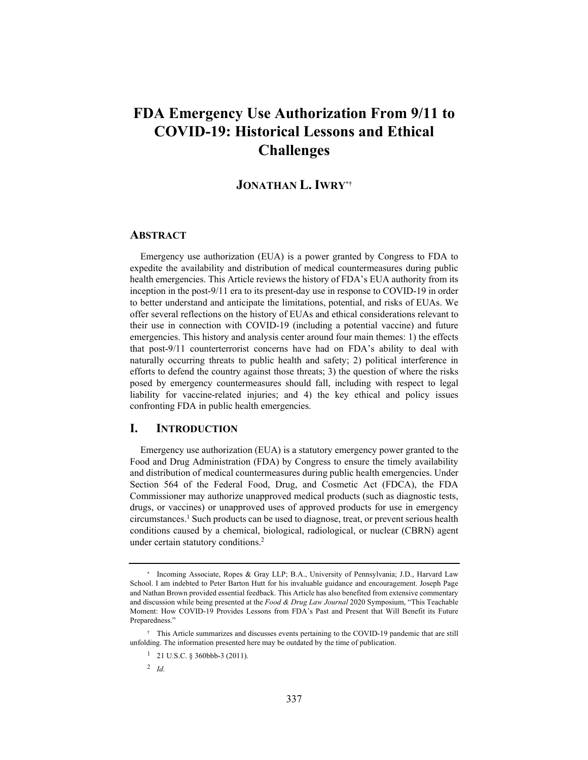# **FDA Emergency Use Authorization From 9/11 to COVID-19: Historical Lessons and Ethical Challenges**

# **JONATHAN L. IWRY\*†**

#### **ABSTRACT**

Emergency use authorization (EUA) is a power granted by Congress to FDA to expedite the availability and distribution of medical countermeasures during public health emergencies. This Article reviews the history of FDA's EUA authority from its inception in the post-9/11 era to its present-day use in response to COVID-19 in order to better understand and anticipate the limitations, potential, and risks of EUAs. We offer several reflections on the history of EUAs and ethical considerations relevant to their use in connection with COVID-19 (including a potential vaccine) and future emergencies. This history and analysis center around four main themes: 1) the effects that post-9/11 counterterrorist concerns have had on FDA's ability to deal with naturally occurring threats to public health and safety; 2) political interference in efforts to defend the country against those threats; 3) the question of where the risks posed by emergency countermeasures should fall, including with respect to legal liability for vaccine-related injuries; and 4) the key ethical and policy issues confronting FDA in public health emergencies.

# **I. INTRODUCTION**

Emergency use authorization (EUA) is a statutory emergency power granted to the Food and Drug Administration (FDA) by Congress to ensure the timely availability and distribution of medical countermeasures during public health emergencies. Under Section 564 of the Federal Food, Drug, and Cosmetic Act (FDCA), the FDA Commissioner may authorize unapproved medical products (such as diagnostic tests, drugs, or vaccines) or unapproved uses of approved products for use in emergency circumstances.1 Such products can be used to diagnose, treat, or prevent serious health conditions caused by a chemical, biological, radiological, or nuclear (CBRN) agent under certain statutory conditions.2

<sup>2</sup> *Id.*

<sup>\*</sup> Incoming Associate, Ropes & Gray LLP; B.A., University of Pennsylvania; J.D., Harvard Law School. I am indebted to Peter Barton Hutt for his invaluable guidance and encouragement. Joseph Page and Nathan Brown provided essential feedback. This Article has also benefited from extensive commentary and discussion while being presented at the *Food & Drug Law Journal* 2020 Symposium, "This Teachable Moment: How COVID-19 Provides Lessons from FDA's Past and Present that Will Benefit its Future Preparedness."

<sup>†</sup> This Article summarizes and discusses events pertaining to the COVID-19 pandemic that are still unfolding. The information presented here may be outdated by the time of publication.

 $1$  21 U.S.C. § 360bbb-3 (2011).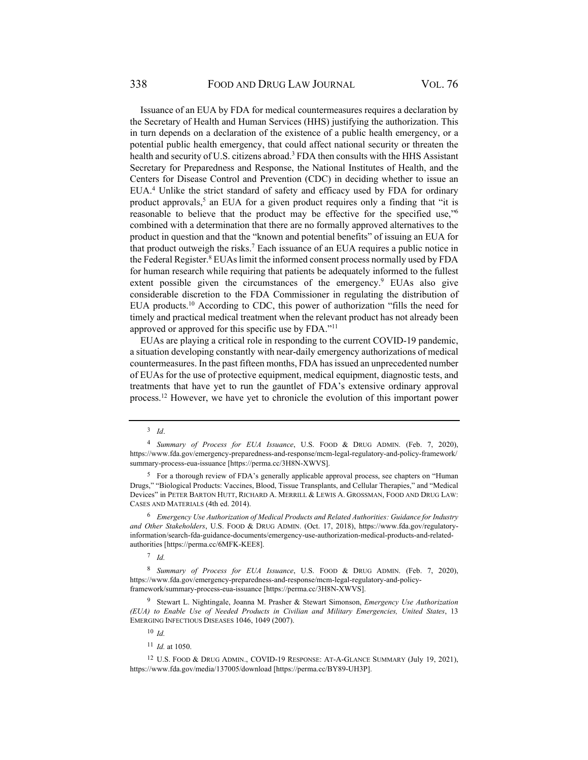Issuance of an EUA by FDA for medical countermeasures requires a declaration by the Secretary of Health and Human Services (HHS) justifying the authorization. This in turn depends on a declaration of the existence of a public health emergency, or a potential public health emergency, that could affect national security or threaten the health and security of U.S. citizens abroad.<sup>3</sup> FDA then consults with the HHS Assistant Secretary for Preparedness and Response, the National Institutes of Health, and the Centers for Disease Control and Prevention (CDC) in deciding whether to issue an EUA.<sup>4</sup> Unlike the strict standard of safety and efficacy used by FDA for ordinary product approvals,<sup>5</sup> an EUA for a given product requires only a finding that "it is reasonable to believe that the product may be effective for the specified use,"6 combined with a determination that there are no formally approved alternatives to the product in question and that the "known and potential benefits" of issuing an EUA for that product outweigh the risks.<sup>7</sup> Each issuance of an EUA requires a public notice in the Federal Register.<sup>8</sup> EUAs limit the informed consent process normally used by FDA for human research while requiring that patients be adequately informed to the fullest extent possible given the circumstances of the emergency.<sup>9</sup> EUAs also give considerable discretion to the FDA Commissioner in regulating the distribution of EUA products.10 According to CDC, this power of authorization "fills the need for timely and practical medical treatment when the relevant product has not already been approved or approved for this specific use by FDA."11

EUAs are playing a critical role in responding to the current COVID-19 pandemic, a situation developing constantly with near-daily emergency authorizations of medical countermeasures. In the past fifteen months, FDA has issued an unprecedented number of EUAs for the use of protective equipment, medical equipment, diagnostic tests, and treatments that have yet to run the gauntlet of FDA's extensive ordinary approval process.12 However, we have yet to chronicle the evolution of this important power

<sup>3</sup> *Id*.

<sup>4</sup> *Summary of Process for EUA Issuance*, U.S. FOOD & DRUG ADMIN. (Feb. 7, 2020), https://www.fda.gov/emergency-preparedness-and-response/mcm-legal-regulatory-and-policy-framework/ summary-process-eua-issuance [https://perma.cc/3H8N-XWVS].

<sup>5</sup> For a thorough review of FDA's generally applicable approval process, see chapters on "Human Drugs," "Biological Products: Vaccines, Blood, Tissue Transplants, and Cellular Therapies," and "Medical Devices" in PETER BARTON HUTT, RICHARD A. MERRILL & LEWIS A. GROSSMAN, FOOD AND DRUG LAW: CASES AND MATERIALS (4th ed. 2014).

<sup>6</sup> *Emergency Use Authorization of Medical Products and Related Authorities: Guidance for Industry and Other Stakeholders*, U.S. FOOD & DRUG ADMIN. (Oct. 17, 2018), https://www.fda.gov/regulatoryinformation/search-fda-guidance-documents/emergency-use-authorization-medical-products-and-relatedauthorities [https://perma.cc/6MFK-KEE8].

<sup>7</sup> *Id.*

<sup>8</sup> *Summary of Process for EUA Issuance*, U.S. FOOD & DRUG ADMIN. (Feb. 7, 2020), https://www.fda.gov/emergency-preparedness-and-response/mcm-legal-regulatory-and-policyframework/summary-process-eua-issuance [https://perma.cc/3H8N-XWVS].

<sup>9</sup> Stewart L. Nightingale, Joanna M. Prasher & Stewart Simonson, *Emergency Use Authorization (EUA) to Enable Use of Needed Products in Civilian and Military Emergencies, United States*, 13 EMERGING INFECTIOUS DISEASES 1046, 1049 (2007).

<sup>10</sup> *Id.*

<sup>11</sup> *Id.* at 1050.

<sup>12</sup> U.S. FOOD & DRUG ADMIN., COVID-19 RESPONSE: AT-A-GLANCE SUMMARY (July 19, 2021), https://www.fda.gov/media/137005/download [https://perma.cc/BY89-UH3P].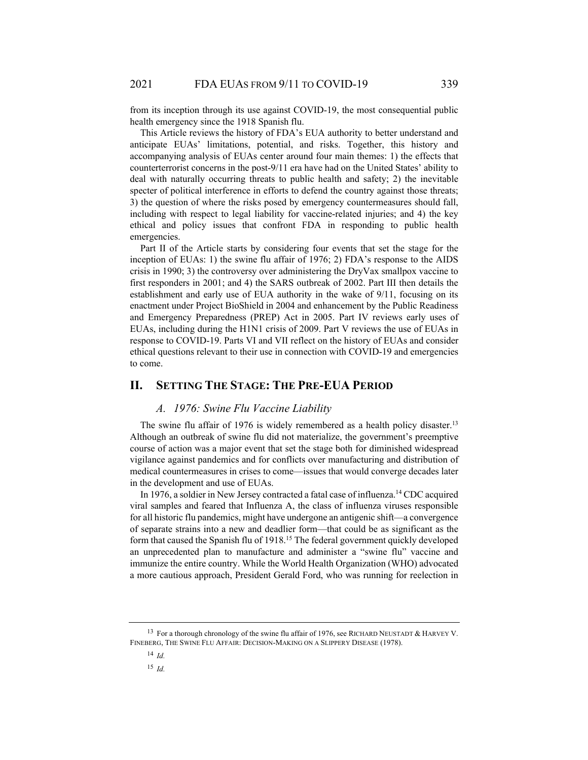from its inception through its use against COVID-19, the most consequential public health emergency since the 1918 Spanish flu.

This Article reviews the history of FDA's EUA authority to better understand and anticipate EUAs' limitations, potential, and risks. Together, this history and accompanying analysis of EUAs center around four main themes: 1) the effects that counterterrorist concerns in the post-9/11 era have had on the United States' ability to deal with naturally occurring threats to public health and safety; 2) the inevitable specter of political interference in efforts to defend the country against those threats; 3) the question of where the risks posed by emergency countermeasures should fall, including with respect to legal liability for vaccine-related injuries; and 4) the key ethical and policy issues that confront FDA in responding to public health emergencies.

Part II of the Article starts by considering four events that set the stage for the inception of EUAs: 1) the swine flu affair of 1976; 2) FDA's response to the AIDS crisis in 1990; 3) the controversy over administering the DryVax smallpox vaccine to first responders in 2001; and 4) the SARS outbreak of 2002. Part III then details the establishment and early use of EUA authority in the wake of 9/11, focusing on its enactment under Project BioShield in 2004 and enhancement by the Public Readiness and Emergency Preparedness (PREP) Act in 2005. Part IV reviews early uses of EUAs, including during the H1N1 crisis of 2009. Part V reviews the use of EUAs in response to COVID-19. Parts VI and VII reflect on the history of EUAs and consider ethical questions relevant to their use in connection with COVID-19 and emergencies to come.

# **II. SETTING THE STAGE: THE PRE-EUA PERIOD**

#### *A. 1976: Swine Flu Vaccine Liability*

The swine flu affair of 1976 is widely remembered as a health policy disaster.<sup>13</sup> Although an outbreak of swine flu did not materialize, the government's preemptive course of action was a major event that set the stage both for diminished widespread vigilance against pandemics and for conflicts over manufacturing and distribution of medical countermeasures in crises to come—issues that would converge decades later in the development and use of EUAs.

In 1976, a soldier in New Jersey contracted a fatal case of influenza.14 CDC acquired viral samples and feared that Influenza A, the class of influenza viruses responsible for all historic flu pandemics, might have undergone an antigenic shift—a convergence of separate strains into a new and deadlier form—that could be as significant as the form that caused the Spanish flu of 1918.15 The federal government quickly developed an unprecedented plan to manufacture and administer a "swine flu" vaccine and immunize the entire country. While the World Health Organization (WHO) advocated a more cautious approach, President Gerald Ford, who was running for reelection in

<sup>&</sup>lt;sup>13</sup> For a thorough chronology of the swine flu affair of 1976, see RICHARD NEUSTADT & HARVEY V. FINEBERG, THE SWINE FLU AFFAIR: DECISION-MAKING ON A SLIPPERY DISEASE (1978).

<sup>14</sup> *Id.*

<sup>15</sup> *Id.*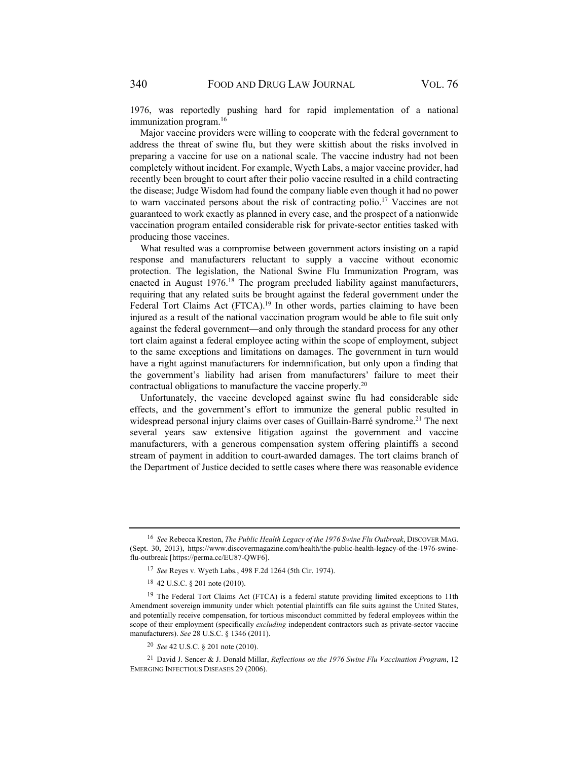1976, was reportedly pushing hard for rapid implementation of a national immunization program.<sup>16</sup>

Major vaccine providers were willing to cooperate with the federal government to address the threat of swine flu, but they were skittish about the risks involved in preparing a vaccine for use on a national scale. The vaccine industry had not been completely without incident. For example, Wyeth Labs, a major vaccine provider, had recently been brought to court after their polio vaccine resulted in a child contracting the disease; Judge Wisdom had found the company liable even though it had no power to warn vaccinated persons about the risk of contracting polio.17 Vaccines are not guaranteed to work exactly as planned in every case, and the prospect of a nationwide vaccination program entailed considerable risk for private-sector entities tasked with producing those vaccines.

What resulted was a compromise between government actors insisting on a rapid response and manufacturers reluctant to supply a vaccine without economic protection. The legislation, the National Swine Flu Immunization Program, was enacted in August  $1976<sup>18</sup>$  The program precluded liability against manufacturers, requiring that any related suits be brought against the federal government under the Federal Tort Claims Act (FTCA).<sup>19</sup> In other words, parties claiming to have been injured as a result of the national vaccination program would be able to file suit only against the federal government—and only through the standard process for any other tort claim against a federal employee acting within the scope of employment, subject to the same exceptions and limitations on damages. The government in turn would have a right against manufacturers for indemnification, but only upon a finding that the government's liability had arisen from manufacturers' failure to meet their contractual obligations to manufacture the vaccine properly.20

Unfortunately, the vaccine developed against swine flu had considerable side effects, and the government's effort to immunize the general public resulted in widespread personal injury claims over cases of Guillain-Barré syndrome.<sup>21</sup> The next several years saw extensive litigation against the government and vaccine manufacturers, with a generous compensation system offering plaintiffs a second stream of payment in addition to court-awarded damages. The tort claims branch of the Department of Justice decided to settle cases where there was reasonable evidence

<sup>16</sup> *See* Rebecca Kreston, *The Public Health Legacy of the 1976 Swine Flu Outbreak*, DISCOVER MAG. (Sept. 30, 2013), https://www.discovermagazine.com/health/the-public-health-legacy-of-the-1976-swineflu-outbreak [https://perma.cc/EU87-QWF6].

<sup>17</sup> *See* Reyes v. Wyeth Labs*.*, 498 F.2d 1264 (5th Cir. 1974).

<sup>18 42</sup> U.S.C. § 201 note (2010).

<sup>&</sup>lt;sup>19</sup> The Federal Tort Claims Act (FTCA) is a federal statute providing limited exceptions to 11th Amendment sovereign immunity under which potential plaintiffs can file suits against the United States, and potentially receive compensation, for tortious misconduct committed by federal employees within the scope of their employment (specifically *excluding* independent contractors such as private-sector vaccine manufacturers). *See* 28 U.S.C. § 1346 (2011).

<sup>20</sup> *See* 42 U.S.C. § 201 note (2010).

<sup>21</sup> David J. Sencer & J. Donald Millar, *Reflections on the 1976 Swine Flu Vaccination Program*, 12 EMERGING INFECTIOUS DISEASES 29 (2006).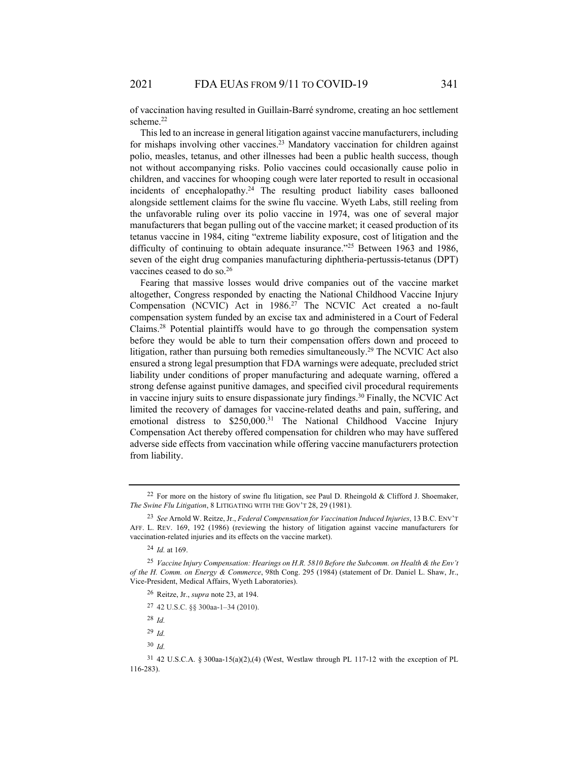of vaccination having resulted in Guillain-Barré syndrome, creating an hoc settlement scheme.<sup>22</sup>

This led to an increase in general litigation against vaccine manufacturers, including for mishaps involving other vaccines.<sup>23</sup> Mandatory vaccination for children against polio, measles, tetanus, and other illnesses had been a public health success, though not without accompanying risks. Polio vaccines could occasionally cause polio in children, and vaccines for whooping cough were later reported to result in occasional incidents of encephalopathy.<sup>24</sup> The resulting product liability cases ballooned alongside settlement claims for the swine flu vaccine. Wyeth Labs, still reeling from the unfavorable ruling over its polio vaccine in 1974, was one of several major manufacturers that began pulling out of the vaccine market; it ceased production of its tetanus vaccine in 1984, citing "extreme liability exposure, cost of litigation and the difficulty of continuing to obtain adequate insurance."<sup>25</sup> Between 1963 and 1986, seven of the eight drug companies manufacturing diphtheria-pertussis-tetanus (DPT) vaccines ceased to do so.26

Fearing that massive losses would drive companies out of the vaccine market altogether, Congress responded by enacting the National Childhood Vaccine Injury Compensation (NCVIC) Act in 1986.<sup>27</sup> The NCVIC Act created a no-fault compensation system funded by an excise tax and administered in a Court of Federal Claims.28 Potential plaintiffs would have to go through the compensation system before they would be able to turn their compensation offers down and proceed to litigation, rather than pursuing both remedies simultaneously.<sup>29</sup> The NCVIC Act also ensured a strong legal presumption that FDA warnings were adequate, precluded strict liability under conditions of proper manufacturing and adequate warning, offered a strong defense against punitive damages, and specified civil procedural requirements in vaccine injury suits to ensure dispassionate jury findings.<sup>30</sup> Finally, the NCVIC Act limited the recovery of damages for vaccine-related deaths and pain, suffering, and emotional distress to  $$250,000.<sup>31</sup>$  The National Childhood Vaccine Injury Compensation Act thereby offered compensation for children who may have suffered adverse side effects from vaccination while offering vaccine manufacturers protection from liability.

<sup>24</sup> *Id.* at 169.

- 26 Reitze, Jr., *supra* note 23, at 194.
- 27 42 U.S.C. §§ 300aa-1–34 (2010).
- <sup>28</sup> *Id.*
- <sup>29</sup> *Id.*
- <sup>30</sup> *Id.*

<sup>22</sup> For more on the history of swine flu litigation, see Paul D. Rheingold & Clifford J. Shoemaker, *The Swine Flu Litigation*, 8 LITIGATING WITH THE GOV'T 28, 29 (1981).

<sup>23</sup> *See* Arnold W. Reitze, Jr., *Federal Compensation for Vaccination Induced Injuries*, 13 B.C. ENV'T AFF. L. REV. 169, 192 (1986) (reviewing the history of litigation against vaccine manufacturers for vaccination-related injuries and its effects on the vaccine market).

<sup>25</sup> *Vaccine Injury Compensation: Hearings on H.R. 5810 Before the Subcomm. on Health & the Env't of the H. Comm. on Energy & Commerce*, 98th Cong. 295 (1984) (statement of Dr. Daniel L. Shaw, Jr., Vice-President, Medical Affairs, Wyeth Laboratories).

<sup>31 42</sup> U.S.C.A. § 300aa-15(a)(2),(4) (West, Westlaw through PL 117-12 with the exception of PL 116-283).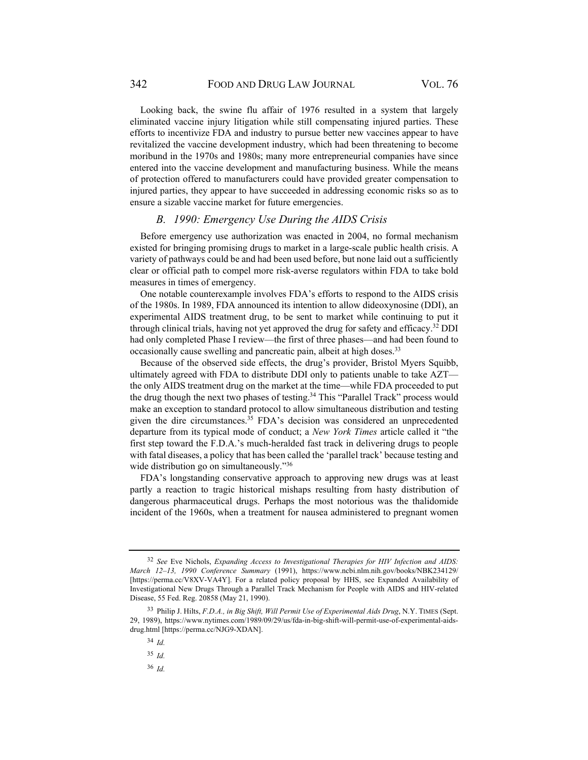342 FOOD AND DRUG LAW JOURNAL VOL. 76

Looking back, the swine flu affair of 1976 resulted in a system that largely eliminated vaccine injury litigation while still compensating injured parties. These efforts to incentivize FDA and industry to pursue better new vaccines appear to have revitalized the vaccine development industry, which had been threatening to become moribund in the 1970s and 1980s; many more entrepreneurial companies have since entered into the vaccine development and manufacturing business. While the means of protection offered to manufacturers could have provided greater compensation to injured parties, they appear to have succeeded in addressing economic risks so as to ensure a sizable vaccine market for future emergencies.

#### *B. 1990: Emergency Use During the AIDS Crisis*

Before emergency use authorization was enacted in 2004, no formal mechanism existed for bringing promising drugs to market in a large-scale public health crisis. A variety of pathways could be and had been used before, but none laid out a sufficiently clear or official path to compel more risk-averse regulators within FDA to take bold measures in times of emergency.

One notable counterexample involves FDA's efforts to respond to the AIDS crisis of the 1980s. In 1989, FDA announced its intention to allow dideoxynosine (DDI), an experimental AIDS treatment drug, to be sent to market while continuing to put it through clinical trials, having not yet approved the drug for safety and efficacy.32 DDI had only completed Phase I review—the first of three phases—and had been found to occasionally cause swelling and pancreatic pain, albeit at high doses.<sup>33</sup>

Because of the observed side effects, the drug's provider, Bristol Myers Squibb, ultimately agreed with FDA to distribute DDI only to patients unable to take AZT the only AIDS treatment drug on the market at the time—while FDA proceeded to put the drug though the next two phases of testing.<sup>34</sup> This "Parallel Track" process would make an exception to standard protocol to allow simultaneous distribution and testing given the dire circumstances.35 FDA's decision was considered an unprecedented departure from its typical mode of conduct; a *New York Times* article called it "the first step toward the F.D.A.'s much-heralded fast track in delivering drugs to people with fatal diseases, a policy that has been called the 'parallel track' because testing and wide distribution go on simultaneously."<sup>36</sup>

FDA's longstanding conservative approach to approving new drugs was at least partly a reaction to tragic historical mishaps resulting from hasty distribution of dangerous pharmaceutical drugs. Perhaps the most notorious was the thalidomide incident of the 1960s, when a treatment for nausea administered to pregnant women

<sup>32</sup> *See* Eve Nichols, *Expanding Access to Investigational Therapies for HIV Infection and AIDS: March 12–13, 1990 Conference Summary* (1991), https://www.ncbi.nlm.nih.gov/books/NBK234129/ [https://perma.cc/V8XV-VA4Y]. For a related policy proposal by HHS, see Expanded Availability of Investigational New Drugs Through a Parallel Track Mechanism for People with AIDS and HIV-related Disease, 55 Fed. Reg. 20858 (May 21, 1990).

<sup>33</sup> Philip J. Hilts, *F.D.A., in Big Shift, Will Permit Use of Experimental Aids Drug*, N.Y. TIMES (Sept. 29, 1989), https://www.nytimes.com/1989/09/29/us/fda-in-big-shift-will-permit-use-of-experimental-aidsdrug.html [https://perma.cc/NJG9-XDAN].

<sup>34</sup> *Id.*

<sup>35</sup> *Id.*

<sup>36</sup> *Id.*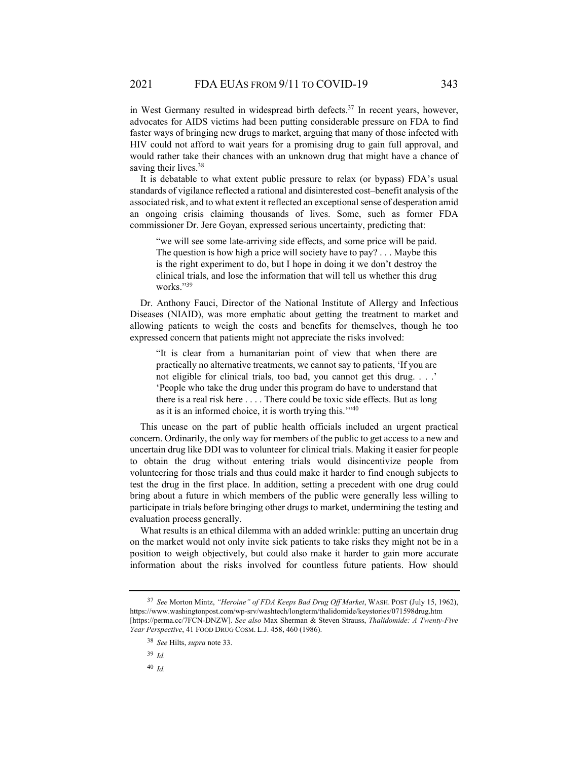in West Germany resulted in widespread birth defects.<sup>37</sup> In recent years, however, advocates for AIDS victims had been putting considerable pressure on FDA to find faster ways of bringing new drugs to market, arguing that many of those infected with HIV could not afford to wait years for a promising drug to gain full approval, and would rather take their chances with an unknown drug that might have a chance of saving their lives.<sup>38</sup>

It is debatable to what extent public pressure to relax (or bypass) FDA's usual standards of vigilance reflected a rational and disinterested cost–benefit analysis of the associated risk, and to what extent it reflected an exceptional sense of desperation amid an ongoing crisis claiming thousands of lives. Some, such as former FDA commissioner Dr. Jere Goyan, expressed serious uncertainty, predicting that:

"we will see some late-arriving side effects, and some price will be paid. The question is how high a price will society have to pay? . . . Maybe this is the right experiment to do, but I hope in doing it we don't destroy the clinical trials, and lose the information that will tell us whether this drug works."39

Dr. Anthony Fauci, Director of the National Institute of Allergy and Infectious Diseases (NIAID), was more emphatic about getting the treatment to market and allowing patients to weigh the costs and benefits for themselves, though he too expressed concern that patients might not appreciate the risks involved:

"It is clear from a humanitarian point of view that when there are practically no alternative treatments, we cannot say to patients, 'If you are not eligible for clinical trials, too bad, you cannot get this drug. . . .' 'People who take the drug under this program do have to understand that there is a real risk here . . . . There could be toxic side effects. But as long as it is an informed choice, it is worth trying this.'"40

This unease on the part of public health officials included an urgent practical concern. Ordinarily, the only way for members of the public to get access to a new and uncertain drug like DDI was to volunteer for clinical trials. Making it easier for people to obtain the drug without entering trials would disincentivize people from volunteering for those trials and thus could make it harder to find enough subjects to test the drug in the first place. In addition, setting a precedent with one drug could bring about a future in which members of the public were generally less willing to participate in trials before bringing other drugs to market, undermining the testing and evaluation process generally.

What results is an ethical dilemma with an added wrinkle: putting an uncertain drug on the market would not only invite sick patients to take risks they might not be in a position to weigh objectively, but could also make it harder to gain more accurate information about the risks involved for countless future patients. How should

<sup>39</sup> *Id.*

<sup>40</sup> *Id.*

<sup>37</sup> *See* Morton Mintz, *"Heroine" of FDA Keeps Bad Drug Off Market*, WASH. POST (July 15, 1962), https://www.washingtonpost.com/wp-srv/washtech/longterm/thalidomide/keystories/071598drug.htm [https://perma.cc/7FCN-DNZW]. *See also* Max Sherman & Steven Strauss, *Thalidomide: A Twenty-Five Year Perspective*, 41 FOOD DRUG COSM. L.J. 458, 460 (1986).

<sup>38</sup> *See* Hilts, *supra* note 33.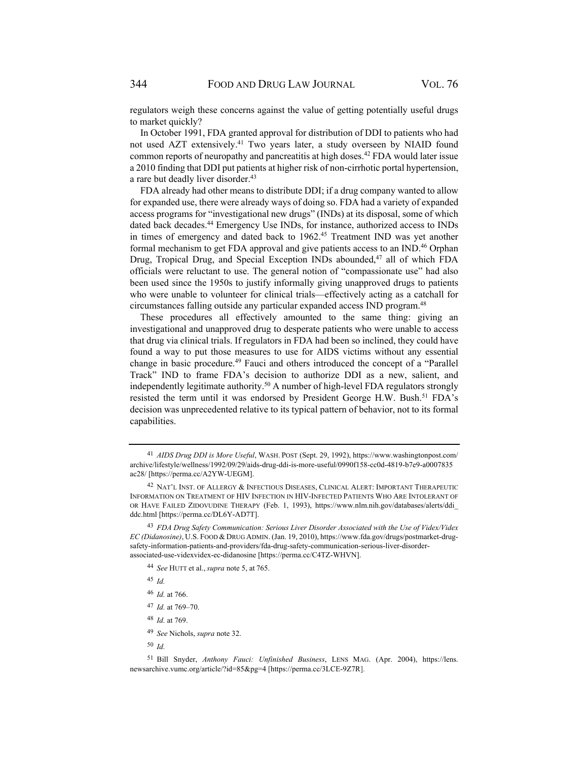regulators weigh these concerns against the value of getting potentially useful drugs to market quickly?

In October 1991, FDA granted approval for distribution of DDI to patients who had not used AZT extensively.41 Two years later, a study overseen by NIAID found common reports of neuropathy and pancreatitis at high doses.42 FDA would later issue a 2010 finding that DDI put patients at higher risk of non-cirrhotic portal hypertension, a rare but deadly liver disorder.<sup>43</sup>

FDA already had other means to distribute DDI; if a drug company wanted to allow for expanded use, there were already ways of doing so. FDA had a variety of expanded access programs for "investigational new drugs" (INDs) at its disposal, some of which dated back decades.<sup>44</sup> Emergency Use INDs, for instance, authorized access to INDs in times of emergency and dated back to 1962.<sup>45</sup> Treatment IND was yet another formal mechanism to get FDA approval and give patients access to an IND.46 Orphan Drug, Tropical Drug, and Special Exception INDs abounded,<sup>47</sup> all of which FDA officials were reluctant to use. The general notion of "compassionate use" had also been used since the 1950s to justify informally giving unapproved drugs to patients who were unable to volunteer for clinical trials—effectively acting as a catchall for circumstances falling outside any particular expanded access IND program.48

These procedures all effectively amounted to the same thing: giving an investigational and unapproved drug to desperate patients who were unable to access that drug via clinical trials. If regulators in FDA had been so inclined, they could have found a way to put those measures to use for AIDS victims without any essential change in basic procedure.<sup>49</sup> Fauci and others introduced the concept of a "Parallel Track" IND to frame FDA's decision to authorize DDI as a new, salient, and independently legitimate authority.50 A number of high-level FDA regulators strongly resisted the term until it was endorsed by President George H.W. Bush.<sup>51</sup> FDA's decision was unprecedented relative to its typical pattern of behavior, not to its formal capabilities.

<sup>44</sup> *See* HUTT et al., *supra* note 5, at 765.

<sup>45</sup> *Id.*

<sup>46</sup> *Id.* at 766.

<sup>47</sup> *Id.* at 769–70.

<sup>48</sup> *Id.* at 769.

<sup>49</sup> *See* Nichols, *supra* note 32.

<sup>50</sup> *Id.*

51 Bill Snyder, *Anthony Fauci: Unfinished Business*, LENS MAG. (Apr. 2004), https://lens. newsarchive.vumc.org/article/?id=85&pg=4 [https://perma.cc/3LCE-9Z7R].

<sup>41</sup> *AIDS Drug DDI is More Useful*, WASH. POST (Sept. 29, 1992), https://www.washingtonpost.com/ archive/lifestyle/wellness/1992/09/29/aids-drug-ddi-is-more-useful/0990f158-cc0d-4819-b7e9-a0007835 ac28/ [https://perma.cc/A2YW-UEGM].

<sup>&</sup>lt;sup>42</sup> NAT'L INST. OF ALLERGY & INFECTIOUS DISEASES, CLINICAL ALERT: IMPORTANT THERAPEUTIC INFORMATION ON TREATMENT OF HIV INFECTION IN HIV-INFECTED PATIENTS WHO ARE INTOLERANT OF OR HAVE FAILED ZIDOVUDINE THERAPY (Feb. 1, 1993), https://www.nlm.nih.gov/databases/alerts/ddi\_ ddc.html [https://perma.cc/DL6Y-AD7T].

<sup>43</sup> *FDA Drug Safety Communication: Serious Liver Disorder Associated with the Use of Videx/Videx EC (Didanosine)*, U.S. FOOD & DRUG ADMIN. (Jan. 19, 2010), https://www.fda.gov/drugs/postmarket-drugsafety-information-patients-and-providers/fda-drug-safety-communication-serious-liver-disorderassociated-use-videxvidex-ec-didanosine [https://perma.cc/C4TZ-WHVN].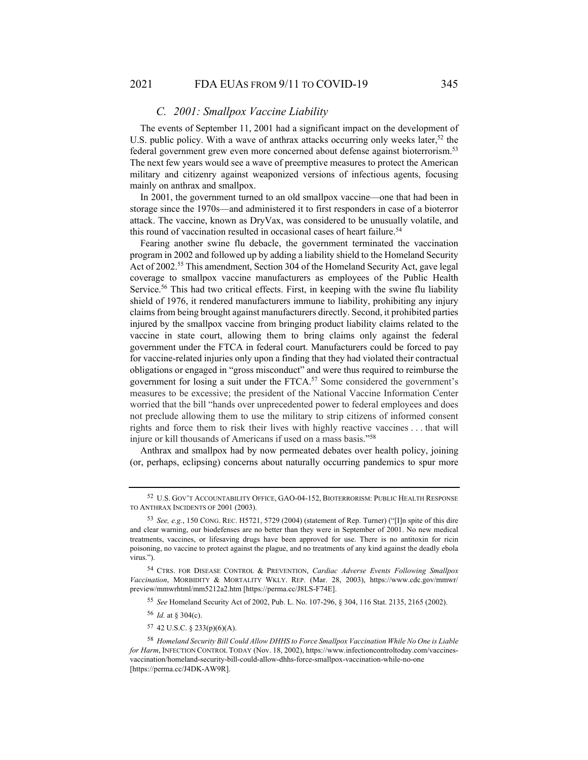## *C. 2001: Smallpox Vaccine Liability*

The events of September 11, 2001 had a significant impact on the development of U.S. public policy. With a wave of anthrax attacks occurring only weeks later,<sup>52</sup> the federal government grew even more concerned about defense against bioterrorism.<sup>53</sup> The next few years would see a wave of preemptive measures to protect the American military and citizenry against weaponized versions of infectious agents, focusing mainly on anthrax and smallpox.

In 2001, the government turned to an old smallpox vaccine—one that had been in storage since the 1970s—and administered it to first responders in case of a bioterror attack. The vaccine, known as DryVax, was considered to be unusually volatile, and this round of vaccination resulted in occasional cases of heart failure.<sup>54</sup>

Fearing another swine flu debacle, the government terminated the vaccination program in 2002 and followed up by adding a liability shield to the Homeland Security Act of 2002.<sup>55</sup> This amendment, Section 304 of the Homeland Security Act, gave legal coverage to smallpox vaccine manufacturers as employees of the Public Health Service.<sup>56</sup> This had two critical effects. First, in keeping with the swine flu liability shield of 1976, it rendered manufacturers immune to liability, prohibiting any injury claims from being brought against manufacturers directly. Second, it prohibited parties injured by the smallpox vaccine from bringing product liability claims related to the vaccine in state court, allowing them to bring claims only against the federal government under the FTCA in federal court. Manufacturers could be forced to pay for vaccine-related injuries only upon a finding that they had violated their contractual obligations or engaged in "gross misconduct" and were thus required to reimburse the government for losing a suit under the FTCA.57 Some considered the government's measures to be excessive; the president of the National Vaccine Information Center worried that the bill "hands over unprecedented power to federal employees and does not preclude allowing them to use the military to strip citizens of informed consent rights and force them to risk their lives with highly reactive vaccines . . . that will injure or kill thousands of Americans if used on a mass basis."58

Anthrax and smallpox had by now permeated debates over health policy, joining (or, perhaps, eclipsing) concerns about naturally occurring pandemics to spur more

<sup>55</sup> *See* Homeland Security Act of 2002, Pub. L. No. 107-296, § 304, 116 Stat. 2135, 2165 (2002).

- <sup>56</sup> *Id.* at § 304(c).
- 57 42 U.S.C. § 233(p)(6)(A).

<sup>52</sup> U.S. GOV'T ACCOUNTABILITY OFFICE, GAO-04-152, BIOTERRORISM: PUBLIC HEALTH RESPONSE TO ANTHRAX INCIDENTS OF 2001 (2003).

<sup>53</sup> *See, e.g.*, 150 CONG. REC. H5721, 5729 (2004) (statement of Rep. Turner) ("[I]n spite of this dire and clear warning, our biodefenses are no better than they were in September of 2001. No new medical treatments, vaccines, or lifesaving drugs have been approved for use. There is no antitoxin for ricin poisoning, no vaccine to protect against the plague, and no treatments of any kind against the deadly ebola virus.").

<sup>54</sup> CTRS. FOR DISEASE CONTROL & PREVENTION, *Cardiac Adverse Events Following Smallpox Vaccination*, MORBIDITY & MORTALITY WKLY. REP. (Mar. 28, 2003), https://www.cdc.gov/mmwr/ preview/mmwrhtml/mm5212a2.htm [https://perma.cc/J8LS-F74E].

<sup>58</sup> *Homeland Security Bill Could Allow DHHS to Force Smallpox Vaccination While No One is Liable for Harm*, INFECTION CONTROL TODAY (Nov. 18, 2002), https://www.infectioncontroltoday.com/vaccinesvaccination/homeland-security-bill-could-allow-dhhs-force-smallpox-vaccination-while-no-one [https://perma.cc/J4DK-AW9R].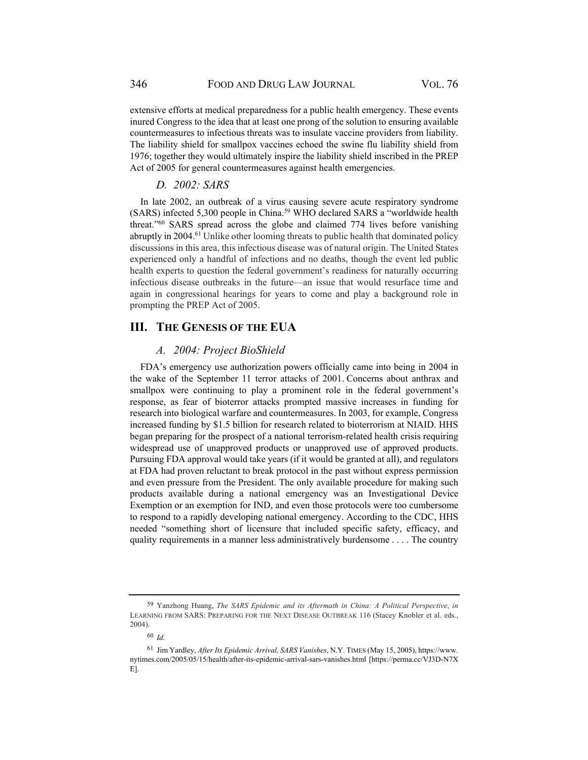extensive efforts at medical preparedness for a public health emergency. These events inured Congress to the idea that at least one prong of the solution to ensuring available countermeasures to infectious threats was to insulate vaccine providers from liability. The liability shield for smallpox vaccines echoed the swine flu liability shield from 1976; together they would ultimately inspire the liability shield inscribed in the PREP Act of 2005 for general countermeasures against health emergencies.

# *D. 2002: SARS*

In late 2002, an outbreak of a virus causing severe acute respiratory syndrome (SARS) infected 5,300 people in China.59 WHO declared SARS a "worldwide health threat."60 SARS spread across the globe and claimed 774 lives before vanishing abruptly in 2004.<sup>61</sup> Unlike other looming threats to public health that dominated policy discussions in this area, this infectious disease was of natural origin. The United States experienced only a handful of infections and no deaths, though the event led public health experts to question the federal government's readiness for naturally occurring infectious disease outbreaks in the future—an issue that would resurface time and again in congressional hearings for years to come and play a background role in prompting the PREP Act of 2005.

# **III. THE GENESIS OF THE EUA**

## *A. 2004: Project BioShield*

FDA's emergency use authorization powers officially came into being in 2004 in the wake of the September 11 terror attacks of 2001. Concerns about anthrax and smallpox were continuing to play a prominent role in the federal government's response, as fear of bioterror attacks prompted massive increases in funding for research into biological warfare and countermeasures. In 2003, for example, Congress increased funding by \$1.5 billion for research related to bioterrorism at NIAID. HHS began preparing for the prospect of a national terrorism-related health crisis requiring widespread use of unapproved products or unapproved use of approved products. Pursuing FDA approval would take years (if it would be granted at all), and regulators at FDA had proven reluctant to break protocol in the past without express permission and even pressure from the President. The only available procedure for making such products available during a national emergency was an Investigational Device Exemption or an exemption for IND, and even those protocols were too cumbersome to respond to a rapidly developing national emergency. According to the CDC, HHS needed "something short of licensure that included specific safety, efficacy, and quality requirements in a manner less administratively burdensome . . . . The country

<sup>59</sup> Yanzhong Huang, *The SARS Epidemic and its Aftermath in China: A Political Perspective*, *in* LEARNING FROM SARS: PREPARING FOR THE NEXT DISEASE OUTBREAK 116 (Stacey Knobler et al. eds., 2004).

<sup>60</sup> *Id.*

<sup>61</sup> Jim Yardley, *After Its Epidemic Arrival, SARS Vanishes*, N.Y. TIMES (May 15, 2005), https://www. nytimes.com/2005/05/15/health/after-its-epidemic-arrival-sars-vanishes.html [https://perma.cc/VJ3D-N7X E].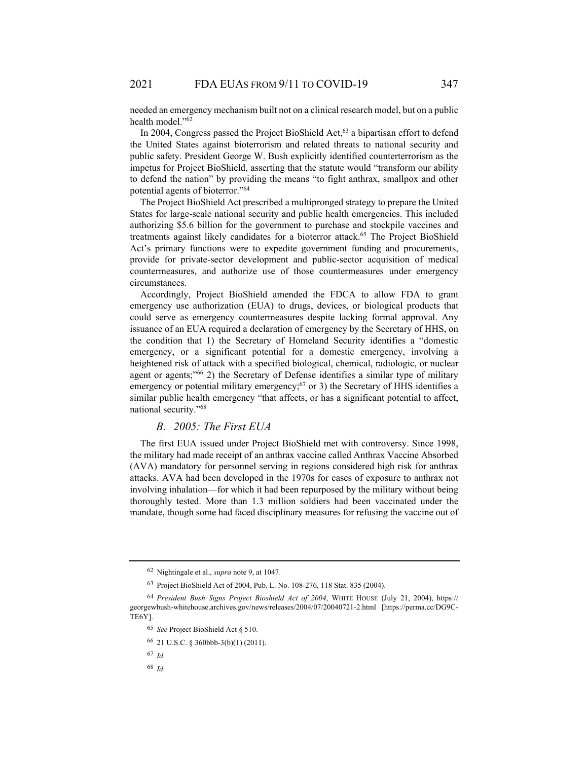needed an emergency mechanism built not on a clinical research model, but on a public health model."<sup>62</sup>

In 2004, Congress passed the Project BioShield Act,  $63$  a bipartisan effort to defend the United States against bioterrorism and related threats to national security and public safety. President George W. Bush explicitly identified counterterrorism as the impetus for Project BioShield, asserting that the statute would "transform our ability to defend the nation" by providing the means "to fight anthrax, smallpox and other potential agents of bioterror."64

The Project BioShield Act prescribed a multipronged strategy to prepare the United States for large-scale national security and public health emergencies. This included authorizing \$5.6 billion for the government to purchase and stockpile vaccines and treatments against likely candidates for a bioterror attack.<sup>65</sup> The Project BioShield Act's primary functions were to expedite government funding and procurements, provide for private-sector development and public-sector acquisition of medical countermeasures, and authorize use of those countermeasures under emergency circumstances.

Accordingly, Project BioShield amended the FDCA to allow FDA to grant emergency use authorization (EUA) to drugs, devices, or biological products that could serve as emergency countermeasures despite lacking formal approval. Any issuance of an EUA required a declaration of emergency by the Secretary of HHS, on the condition that 1) the Secretary of Homeland Security identifies a "domestic emergency, or a significant potential for a domestic emergency, involving a heightened risk of attack with a specified biological, chemical, radiologic, or nuclear agent or agents;"66 2) the Secretary of Defense identifies a similar type of military emergency or potential military emergency;<sup>67</sup> or 3) the Secretary of HHS identifies a similar public health emergency "that affects, or has a significant potential to affect, national security."68

## *B. 2005: The First EUA*

The first EUA issued under Project BioShield met with controversy. Since 1998, the military had made receipt of an anthrax vaccine called Anthrax Vaccine Absorbed (AVA) mandatory for personnel serving in regions considered high risk for anthrax attacks. AVA had been developed in the 1970s for cases of exposure to anthrax not involving inhalation—for which it had been repurposed by the military without being thoroughly tested. More than 1.3 million soldiers had been vaccinated under the mandate, though some had faced disciplinary measures for refusing the vaccine out of

<sup>62</sup> Nightingale et al., *supra* note 9, at 1047.

<sup>63</sup> Project BioShield Act of 2004, Pub. L. No. 108-276, 118 Stat. 835 (2004).

<sup>64</sup> *President Bush Signs Project Bioshield Act of 2004*, WHITE HOUSE (July 21, 2004), https:// georgewbush-whitehouse.archives.gov/news/releases/2004/07/20040721-2.html [https://perma.cc/DG9C-TE6Y].

<sup>65</sup> *See* Project BioShield Act § 510.

<sup>66 21</sup> U.S.C. § 360bbb-3(b)(1) (2011).

<sup>67</sup> *Id.*

<sup>68</sup> *Id.*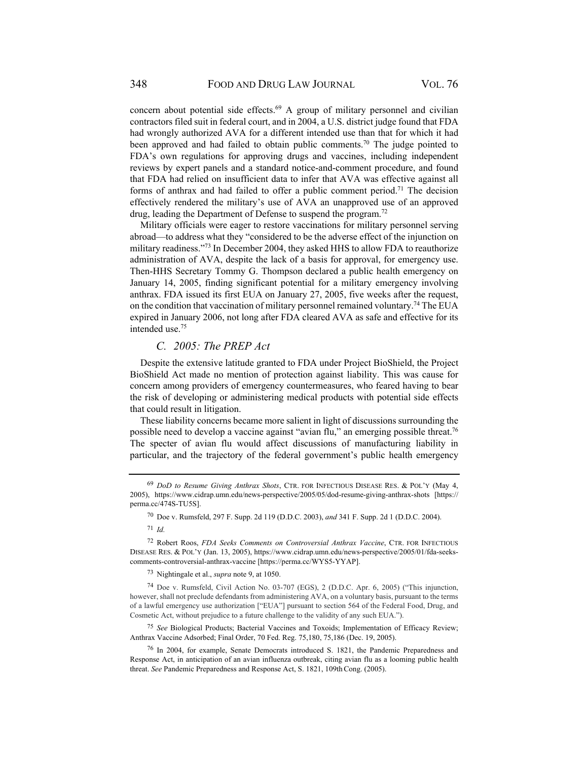concern about potential side effects. $69$  A group of military personnel and civilian contractors filed suit in federal court, and in 2004, a U.S. district judge found that FDA had wrongly authorized AVA for a different intended use than that for which it had been approved and had failed to obtain public comments.<sup>70</sup> The judge pointed to FDA's own regulations for approving drugs and vaccines, including independent reviews by expert panels and a standard notice-and-comment procedure, and found that FDA had relied on insufficient data to infer that AVA was effective against all forms of anthrax and had failed to offer a public comment period.<sup>71</sup> The decision effectively rendered the military's use of AVA an unapproved use of an approved drug, leading the Department of Defense to suspend the program.<sup>72</sup>

Military officials were eager to restore vaccinations for military personnel serving abroad—to address what they "considered to be the adverse effect of the injunction on military readiness."73 In December 2004, they asked HHS to allow FDA to reauthorize administration of AVA, despite the lack of a basis for approval, for emergency use. Then-HHS Secretary Tommy G. Thompson declared a public health emergency on January 14, 2005, finding significant potential for a military emergency involving anthrax. FDA issued its first EUA on January 27, 2005, five weeks after the request, on the condition that vaccination of military personnel remained voluntary.<sup>74</sup> The EUA expired in January 2006, not long after FDA cleared AVA as safe and effective for its intended use.75

## *C. 2005: The PREP Act*

Despite the extensive latitude granted to FDA under Project BioShield, the Project BioShield Act made no mention of protection against liability. This was cause for concern among providers of emergency countermeasures, who feared having to bear the risk of developing or administering medical products with potential side effects that could result in litigation.

These liability concerns became more salient in light of discussions surrounding the possible need to develop a vaccine against "avian flu," an emerging possible threat.76 The specter of avian flu would affect discussions of manufacturing liability in particular, and the trajectory of the federal government's public health emergency

70 Doe v. Rumsfeld, 297 F. Supp. 2d 119 (D.D.C. 2003), *and* 341 F. Supp. 2d 1 (D.D.C. 2004).

<sup>71</sup> *Id.*

73 Nightingale et al., *supra* note 9, at 1050.

74 Doe v. Rumsfeld, Civil Action No. 03-707 (EGS), 2 (D.D.C. Apr. 6, 2005) ("This injunction, however, shall not preclude defendants from administering AVA, on a voluntary basis, pursuant to the terms of a lawful emergency use authorization ["EUA"] pursuant to section 564 of the Federal Food, Drug, and Cosmetic Act, without prejudice to a future challenge to the validity of any such EUA.").

<sup>75</sup> *See* Biological Products; Bacterial Vaccines and Toxoids; Implementation of Efficacy Review; Anthrax Vaccine Adsorbed; Final Order, 70 Fed. Reg. 75,180, 75,186 (Dec. 19, 2005).

76 In 2004, for example, Senate Democrats introduced S. 1821, the Pandemic Preparedness and Response Act, in anticipation of an avian influenza outbreak, citing avian flu as a looming public health threat. *See Pandemic Preparedness and Response Act, S. 1821, 109th Cong. (2005).* 

<sup>69</sup> *DoD to Resume Giving Anthrax Shots*, CTR. FOR INFECTIOUS DISEASE RES. & POL'Y (May 4, 2005), https://www.cidrap.umn.edu/news-perspective/2005/05/dod-resume-giving-anthrax-shots [https:// perma.cc/474S-TU5S].

<sup>72</sup> Robert Roos, *FDA Seeks Comments on Controversial Anthrax Vaccine*, CTR. FOR INFECTIOUS DISEASE RES. & POL'Y (Jan. 13, 2005), https://www.cidrap.umn.edu/news-perspective/2005/01/fda-seekscomments-controversial-anthrax-vaccine [https://perma.cc/WYS5-YYAP].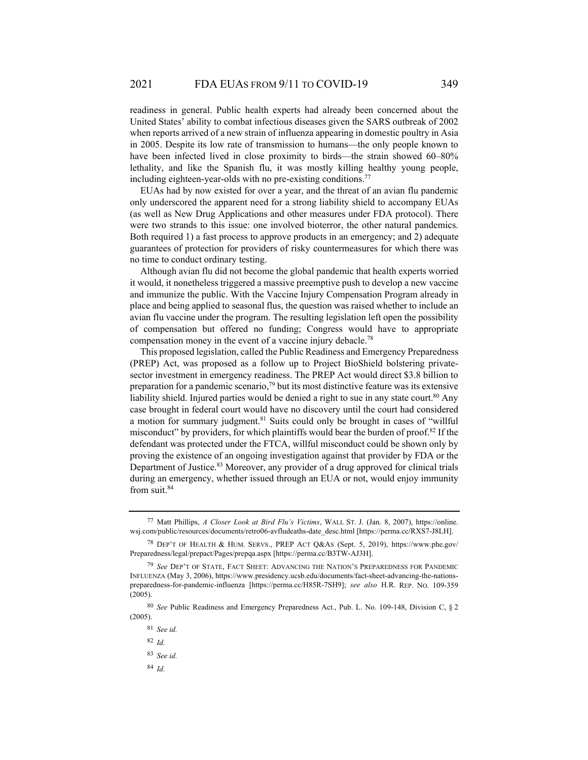readiness in general. Public health experts had already been concerned about the United States' ability to combat infectious diseases given the SARS outbreak of 2002 when reports arrived of a new strain of influenza appearing in domestic poultry in Asia in 2005. Despite its low rate of transmission to humans—the only people known to have been infected lived in close proximity to birds—the strain showed 60–80% lethality, and like the Spanish flu, it was mostly killing healthy young people, including eighteen-year-olds with no pre-existing conditions.<sup>77</sup>

EUAs had by now existed for over a year, and the threat of an avian flu pandemic only underscored the apparent need for a strong liability shield to accompany EUAs (as well as New Drug Applications and other measures under FDA protocol). There were two strands to this issue: one involved bioterror, the other natural pandemics. Both required 1) a fast process to approve products in an emergency; and 2) adequate guarantees of protection for providers of risky countermeasures for which there was no time to conduct ordinary testing.

Although avian flu did not become the global pandemic that health experts worried it would, it nonetheless triggered a massive preemptive push to develop a new vaccine and immunize the public. With the Vaccine Injury Compensation Program already in place and being applied to seasonal flus, the question was raised whether to include an avian flu vaccine under the program. The resulting legislation left open the possibility of compensation but offered no funding; Congress would have to appropriate compensation money in the event of a vaccine injury debacle.<sup>78</sup>

This proposed legislation, called the Public Readiness and Emergency Preparedness (PREP) Act, was proposed as a follow up to Project BioShield bolstering privatesector investment in emergency readiness. The PREP Act would direct \$3.8 billion to preparation for a pandemic scenario,<sup>79</sup> but its most distinctive feature was its extensive liability shield. Injured parties would be denied a right to sue in any state court.<sup>80</sup> Any case brought in federal court would have no discovery until the court had considered a motion for summary judgment.<sup>81</sup> Suits could only be brought in cases of "willful misconduct" by providers, for which plaintiffs would bear the burden of proof.82 If the defendant was protected under the FTCA, willful misconduct could be shown only by proving the existence of an ongoing investigation against that provider by FDA or the Department of Justice.<sup>83</sup> Moreover, any provider of a drug approved for clinical trials during an emergency, whether issued through an EUA or not, would enjoy immunity from suit.<sup>84</sup>

<sup>84</sup> *Id.*

<sup>77</sup> Matt Phillips, *A Closer Look at Bird Flu's Victims*, WALL ST. J. (Jan. 8, 2007), https://online. wsj.com/public/resources/documents/retro06-avfludeaths-date\_desc.html [https://perma.cc/RXS7-J8LH].

<sup>78</sup> DEP'T OF HEALTH & HUM. SERVS., PREP ACT Q&AS (Sept. 5, 2019), https://www.phe.gov/ Preparedness/legal/prepact/Pages/prepqa.aspx [https://perma.cc/B3TW-AJ3H].

<sup>79</sup> *See* DEP'T OF STATE, FACT SHEET: ADVANCING THE NATION'S PREPAREDNESS FOR PANDEMIC INFLUENZA (May 3, 2006), https://www.presidency.ucsb.edu/documents/fact-sheet-advancing-the-nationspreparedness-for-pandemic-influenza [https://perma.cc/H85R-7SH9]; *see also* H.R. REP. NO. 109-359 (2005).

<sup>80</sup> *See* Public Readiness and Emergency Preparedness Act., Pub. L. No. 109-148, Division C, § 2 (2005).

<sup>81</sup> *See id.*

<sup>82</sup> *Id.*

<sup>83</sup> *See id.*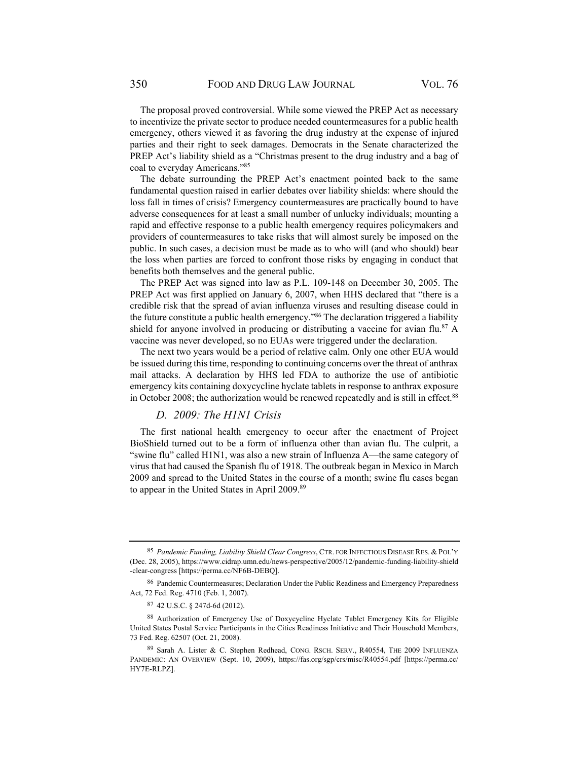The proposal proved controversial. While some viewed the PREP Act as necessary to incentivize the private sector to produce needed countermeasures for a public health emergency, others viewed it as favoring the drug industry at the expense of injured parties and their right to seek damages. Democrats in the Senate characterized the PREP Act's liability shield as a "Christmas present to the drug industry and a bag of coal to everyday Americans."85

The debate surrounding the PREP Act's enactment pointed back to the same fundamental question raised in earlier debates over liability shields: where should the loss fall in times of crisis? Emergency countermeasures are practically bound to have adverse consequences for at least a small number of unlucky individuals; mounting a rapid and effective response to a public health emergency requires policymakers and providers of countermeasures to take risks that will almost surely be imposed on the public. In such cases, a decision must be made as to who will (and who should) bear the loss when parties are forced to confront those risks by engaging in conduct that benefits both themselves and the general public.

The PREP Act was signed into law as P.L. 109-148 on December 30, 2005. The PREP Act was first applied on January 6, 2007, when HHS declared that "there is a credible risk that the spread of avian influenza viruses and resulting disease could in the future constitute a public health emergency."86 The declaration triggered a liability shield for anyone involved in producing or distributing a vaccine for avian flu.<sup>87</sup> A vaccine was never developed, so no EUAs were triggered under the declaration.

The next two years would be a period of relative calm. Only one other EUA would be issued during this time, responding to continuing concerns over the threat of anthrax mail attacks. A declaration by HHS led FDA to authorize the use of antibiotic emergency kits containing doxycycline hyclate tablets in response to anthrax exposure in October 2008; the authorization would be renewed repeatedly and is still in effect.<sup>88</sup>

#### *D. 2009: The H1N1 Crisis*

The first national health emergency to occur after the enactment of Project BioShield turned out to be a form of influenza other than avian flu. The culprit, a "swine flu" called H1N1, was also a new strain of Influenza A—the same category of virus that had caused the Spanish flu of 1918. The outbreak began in Mexico in March 2009 and spread to the United States in the course of a month; swine flu cases began to appear in the United States in April 2009.89

<sup>85</sup> *Pandemic Funding, Liability Shield Clear Congress*, CTR. FOR INFECTIOUS DISEASE RES. & POL'Y (Dec. 28, 2005), https://www.cidrap.umn.edu/news-perspective/2005/12/pandemic-funding-liability-shield -clear-congress [https://perma.cc/NF6B-DEBQ].

<sup>&</sup>lt;sup>86</sup> Pandemic Countermeasures; Declaration Under the Public Readiness and Emergency Preparedness Act, 72 Fed. Reg. 4710 (Feb. 1, 2007).

<sup>87 42</sup> U.S.C. § 247d-6d (2012).

<sup>88</sup> Authorization of Emergency Use of Doxycycline Hyclate Tablet Emergency Kits for Eligible United States Postal Service Participants in the Cities Readiness Initiative and Their Household Members, 73 Fed. Reg. 62507 (Oct. 21, 2008).

<sup>89</sup> Sarah A. Lister & C. Stephen Redhead, CONG. RSCH. SERV., R40554, THE 2009 INFLUENZA PANDEMIC: AN OVERVIEW (Sept. 10, 2009), https://fas.org/sgp/crs/misc/R40554.pdf [https://perma.cc/ HY7E-RLPZ].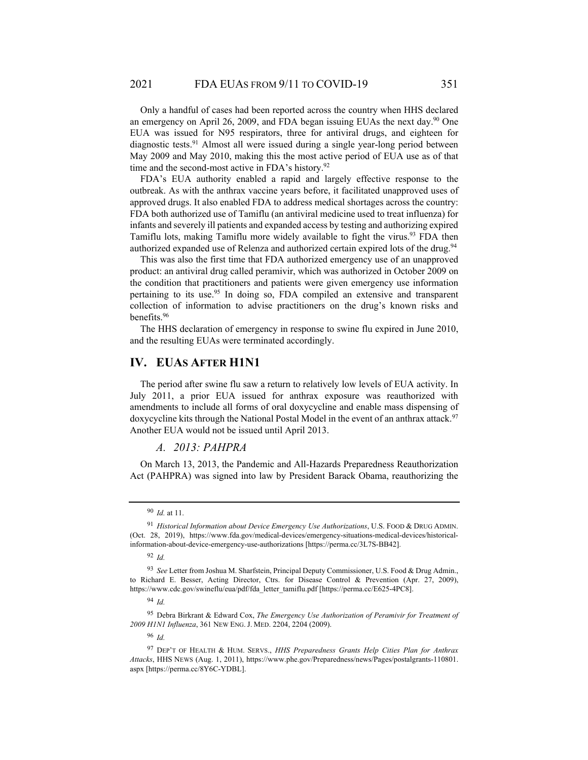Only a handful of cases had been reported across the country when HHS declared an emergency on April 26, 2009, and FDA began issuing EUAs the next day.<sup>90</sup> One EUA was issued for N95 respirators, three for antiviral drugs, and eighteen for diagnostic tests.91 Almost all were issued during a single year-long period between May 2009 and May 2010, making this the most active period of EUA use as of that time and the second-most active in FDA's history.<sup>92</sup>

FDA's EUA authority enabled a rapid and largely effective response to the outbreak. As with the anthrax vaccine years before, it facilitated unapproved uses of approved drugs. It also enabled FDA to address medical shortages across the country: FDA both authorized use of Tamiflu (an antiviral medicine used to treat influenza) for infants and severely ill patients and expanded access by testing and authorizing expired Tamiflu lots, making Tamiflu more widely available to fight the virus.<sup>93</sup> FDA then authorized expanded use of Relenza and authorized certain expired lots of the drug.<sup>94</sup>

This was also the first time that FDA authorized emergency use of an unapproved product: an antiviral drug called peramivir, which was authorized in October 2009 on the condition that practitioners and patients were given emergency use information pertaining to its use.<sup>95</sup> In doing so, FDA compiled an extensive and transparent collection of information to advise practitioners on the drug's known risks and benefits.96

The HHS declaration of emergency in response to swine flu expired in June 2010, and the resulting EUAs were terminated accordingly.

## **IV. EUAS AFTER H1N1**

The period after swine flu saw a return to relatively low levels of EUA activity. In July 2011, a prior EUA issued for anthrax exposure was reauthorized with amendments to include all forms of oral doxycycline and enable mass dispensing of doxycycline kits through the National Postal Model in the event of an anthrax attack.<sup>97</sup> Another EUA would not be issued until April 2013.

#### *A. 2013: PAHPRA*

On March 13, 2013, the Pandemic and All-Hazards Preparedness Reauthorization Act (PAHPRA) was signed into law by President Barack Obama, reauthorizing the

95 Debra Birkrant & Edward Cox, *The Emergency Use Authorization of Peramivir for Treatment of 2009 H1N1 Influenza*, 361 NEW ENG. J. MED. 2204, 2204 (2009).

<sup>96</sup> *Id.*

<sup>90</sup> *Id.* at 11.

<sup>91</sup> *Historical Information about Device Emergency Use Authorizations*, U.S. FOOD & DRUG ADMIN. (Oct. 28, 2019), https://www.fda.gov/medical-devices/emergency-situations-medical-devices/historicalinformation-about-device-emergency-use-authorizations [https://perma.cc/3L7S-BB42].

<sup>92</sup> *Id.*

<sup>93</sup> *See* Letter from Joshua M. Sharfstein, Principal Deputy Commissioner, U.S. Food & Drug Admin., to Richard E. Besser, Acting Director, Ctrs. for Disease Control & Prevention (Apr. 27, 2009), https://www.cdc.gov/swineflu/eua/pdf/fda\_letter\_tamiflu.pdf [https://perma.cc/E625-4PC8].

<sup>94</sup> *Id.*

<sup>97</sup> DEP'T OF HEALTH & HUM. SERVS., *HHS Preparedness Grants Help Cities Plan for Anthrax Attacks*, HHS NEWS (Aug. 1, 2011), https://www.phe.gov/Preparedness/news/Pages/postalgrants-110801. aspx [https://perma.cc/8Y6C-YDBL].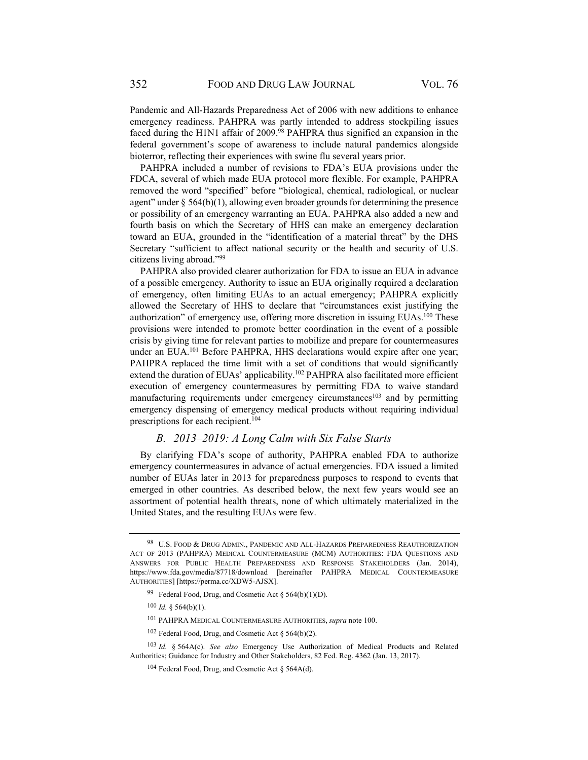Pandemic and All-Hazards Preparedness Act of 2006 with new additions to enhance emergency readiness. PAHPRA was partly intended to address stockpiling issues faced during the H1N1 affair of 2009.<sup>98</sup> PAHPRA thus signified an expansion in the federal government's scope of awareness to include natural pandemics alongside bioterror, reflecting their experiences with swine flu several years prior.

PAHPRA included a number of revisions to FDA's EUA provisions under the FDCA, several of which made EUA protocol more flexible. For example, PAHPRA removed the word "specified" before "biological, chemical, radiological, or nuclear agent" under  $\S$  564(b)(1), allowing even broader grounds for determining the presence or possibility of an emergency warranting an EUA. PAHPRA also added a new and fourth basis on which the Secretary of HHS can make an emergency declaration toward an EUA, grounded in the "identification of a material threat" by the DHS Secretary "sufficient to affect national security or the health and security of U.S. citizens living abroad."99

PAHPRA also provided clearer authorization for FDA to issue an EUA in advance of a possible emergency. Authority to issue an EUA originally required a declaration of emergency, often limiting EUAs to an actual emergency; PAHPRA explicitly allowed the Secretary of HHS to declare that "circumstances exist justifying the authorization" of emergency use, offering more discretion in issuing EUAs.<sup>100</sup> These provisions were intended to promote better coordination in the event of a possible crisis by giving time for relevant parties to mobilize and prepare for countermeasures under an EUA.<sup>101</sup> Before PAHPRA, HHS declarations would expire after one year; PAHPRA replaced the time limit with a set of conditions that would significantly extend the duration of EUAs' applicability.<sup>102</sup> PAHPRA also facilitated more efficient execution of emergency countermeasures by permitting FDA to waive standard manufacturing requirements under emergency circumstances<sup>103</sup> and by permitting emergency dispensing of emergency medical products without requiring individual prescriptions for each recipient.<sup>104</sup>

## *B. 2013–2019: A Long Calm with Six False Starts*

By clarifying FDA's scope of authority, PAHPRA enabled FDA to authorize emergency countermeasures in advance of actual emergencies. FDA issued a limited number of EUAs later in 2013 for preparedness purposes to respond to events that emerged in other countries. As described below, the next few years would see an assortment of potential health threats, none of which ultimately materialized in the United States, and the resulting EUAs were few.

<sup>98</sup> U.S. FOOD & DRUG ADMIN., PANDEMIC AND ALL-HAZARDS PREPAREDNESS REAUTHORIZATION ACT OF 2013 (PAHPRA) MEDICAL COUNTERMEASURE (MCM) AUTHORITIES: FDA QUESTIONS AND ANSWERS FOR PUBLIC HEALTH PREPAREDNESS AND RESPONSE STAKEHOLDERS (Jan. 2014), https://www.fda.gov/media/87718/download [hereinafter PAHPRA MEDICAL COUNTERMEASURE AUTHORITIES] [https://perma.cc/XDW5-AJSX].

<sup>&</sup>lt;sup>99</sup> Federal Food, Drug, and Cosmetic Act § 564(b)(1)(D).

<sup>100</sup> *Id.* § 564(b)(1).

<sup>101</sup> PAHPRA MEDICAL COUNTERMEASURE AUTHORITIES, *supra* note 100.

<sup>102</sup> Federal Food, Drug, and Cosmetic Act § 564(b)(2).

<sup>103</sup> *Id.* § 564A(c). *See also* Emergency Use Authorization of Medical Products and Related Authorities; Guidance for Industry and Other Stakeholders, 82 Fed. Reg. 4362 (Jan. 13, 2017).

 $104$  Federal Food, Drug, and Cosmetic Act § 564A(d).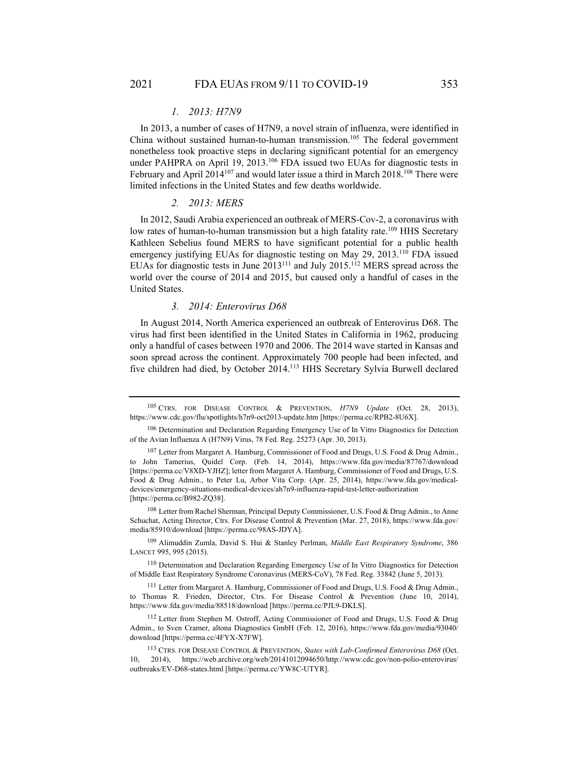#### *1. 2013: H7N9*

In 2013, a number of cases of H7N9, a novel strain of influenza, were identified in China without sustained human-to-human transmission.<sup>105</sup> The federal government nonetheless took proactive steps in declaring significant potential for an emergency under PAHPRA on April 19, 2013.<sup>106</sup> FDA issued two EUAs for diagnostic tests in February and April 2014<sup>107</sup> and would later issue a third in March 2018.<sup>108</sup> There were limited infections in the United States and few deaths worldwide.

#### *2. 2013: MERS*

In 2012, Saudi Arabia experienced an outbreak of MERS-Cov-2, a coronavirus with low rates of human-to-human transmission but a high fatality rate.<sup>109</sup> HHS Secretary Kathleen Sebelius found MERS to have significant potential for a public health emergency justifying EUAs for diagnostic testing on May 29, 2013.<sup>110</sup> FDA issued EUAs for diagnostic tests in June 2013111 and July 2015.112 MERS spread across the world over the course of 2014 and 2015, but caused only a handful of cases in the United States.

#### *3. 2014: Enterovirus D68*

In August 2014, North America experienced an outbreak of Enterovirus D68. The virus had first been identified in the United States in California in 1962, producing only a handful of cases between 1970 and 2006. The 2014 wave started in Kansas and soon spread across the continent. Approximately 700 people had been infected, and five children had died, by October 2014.113 HHS Secretary Sylvia Burwell declared

<sup>105</sup> CTRS. FOR DISEASE CONTROL & PREVENTION, *H7N9 Update* (Oct. 28, 2013), https://www.cdc.gov/flu/spotlights/h7n9-oct2013-update.htm [https://perma.cc/RPB2-8U6X].

<sup>106</sup> Determination and Declaration Regarding Emergency Use of In Vitro Diagnostics for Detection of the Avian Influenza A (H7N9) Virus, 78 Fed. Reg. 25273 (Apr. 30, 2013).

<sup>&</sup>lt;sup>107</sup> Letter from Margaret A. Hamburg, Commissioner of Food and Drugs, U.S. Food & Drug Admin., to John Tamerius, Quidel Corp. (Feb. 14, 2014), https://www.fda.gov/media/87767/download [https://perma.cc/V8XD-YJHZ]; letter from Margaret A. Hamburg, Commissioner of Food and Drugs, U.S. Food & Drug Admin., to Peter Lu, Arbor Vita Corp. (Apr. 25, 2014), https://www.fda.gov/medicaldevices/emergency-situations-medical-devices/ah7n9-influenza-rapid-test-letter-authorization [https://perma.cc/B982-ZQ38].

<sup>108</sup> Letter from Rachel Sherman, Principal Deputy Commissioner, U.S. Food & Drug Admin., to Anne Schuchat, Acting Director, Ctrs. For Disease Control & Prevention (Mar. 27, 2018), https://www.fda.gov/ media/85910/download [https://perma.cc/98AS-JDYA].

<sup>109</sup> Alimuddin Zumla, David S. Hui & Stanley Perlman, *Middle East Respiratory Syndrome*, 386 LANCET 995, 995 (2015).

<sup>110</sup> Determination and Declaration Regarding Emergency Use of In Vitro Diagnostics for Detection of Middle East Respiratory Syndrome Coronavirus (MERS-CoV), 78 Fed. Reg. 33842 (June 5, 2013).

<sup>111</sup> Letter from Margaret A. Hamburg, Commissioner of Food and Drugs, U.S. Food & Drug Admin., to Thomas R. Frieden, Director, Ctrs. For Disease Control & Prevention (June 10, 2014), https://www.fda.gov/media/88518/download [https://perma.cc/PJL9-DKLS].

<sup>112</sup> Letter from Stephen M. Ostroff, Acting Commissioner of Food and Drugs, U.S. Food & Drug Admin., to Sven Cramer, altona Diagnostics GmbH (Feb. 12, 2016), https://www.fda.gov/media/93040/ download [https://perma.cc/4FYX-X7FW].

<sup>113</sup> CTRS. FOR DISEASE CONTROL & PREVENTION, *States with Lab-Confirmed Enterovirus D68* (Oct. 10, 2014), https://web.archive.org/web/20141012094650/http://www.cdc.gov/non-polio-enterovirus/ outbreaks/EV-D68-states.html [https://perma.cc/YW8C-UTYR].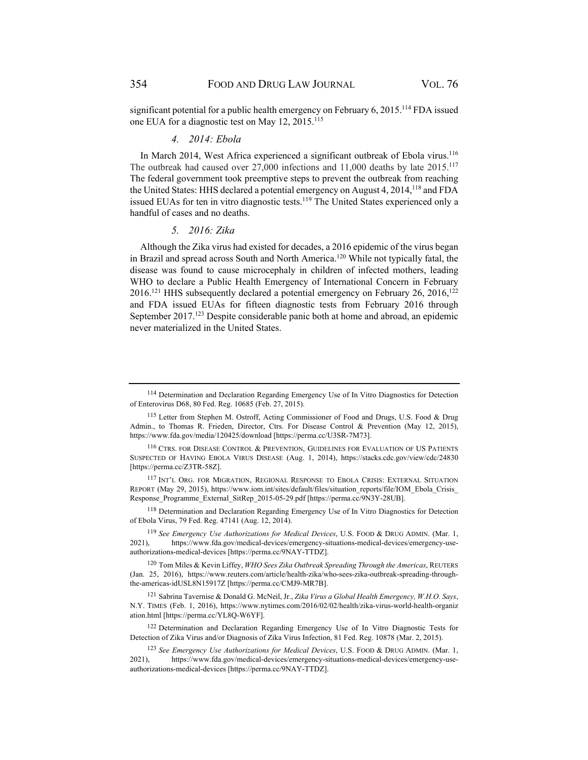significant potential for a public health emergency on February 6, 2015.<sup>114</sup> FDA issued one EUA for a diagnostic test on May 12, 2015.<sup>115</sup>

## *4. 2014: Ebola*

In March 2014, West Africa experienced a significant outbreak of Ebola virus.<sup>116</sup> The outbreak had caused over 27,000 infections and 11,000 deaths by late 2015.117 The federal government took preemptive steps to prevent the outbreak from reaching the United States: HHS declared a potential emergency on August 4, 2014,<sup>118</sup> and FDA issued EUAs for ten in vitro diagnostic tests.<sup>119</sup> The United States experienced only a handful of cases and no deaths.

#### *5. 2016: Zika*

Although the Zika virus had existed for decades, a 2016 epidemic of the virus began in Brazil and spread across South and North America.120 While not typically fatal, the disease was found to cause microcephaly in children of infected mothers, leading WHO to declare a Public Health Emergency of International Concern in February  $2016$ <sup>121</sup> HHS subsequently declared a potential emergency on February 26, 2016,<sup>122</sup> and FDA issued EUAs for fifteen diagnostic tests from February 2016 through September 2017.<sup>123</sup> Despite considerable panic both at home and abroad, an epidemic never materialized in the United States.

<sup>&</sup>lt;sup>114</sup> Determination and Declaration Regarding Emergency Use of In Vitro Diagnostics for Detection of Enterovirus D68, 80 Fed. Reg. 10685 (Feb. 27, 2015).

<sup>115</sup> Letter from Stephen M. Ostroff, Acting Commissioner of Food and Drugs, U.S. Food & Drug Admin., to Thomas R. Frieden, Director, Ctrs. For Disease Control & Prevention (May 12, 2015), https://www.fda.gov/media/120425/download [https://perma.cc/U3SR-7M73].

<sup>116</sup> CTRS. FOR DISEASE CONTROL & PREVENTION, GUIDELINES FOR EVALUATION OF US PATIENTS SUSPECTED OF HAVING EBOLA VIRUS DISEASE (Aug. 1, 2014), https://stacks.cdc.gov/view/cdc/24830 [https://perma.cc/Z3TR-58Z].

<sup>117</sup> INT'L ORG. FOR MIGRATION, REGIONAL RESPONSE TO EBOLA CRISIS: EXTERNAL SITUATION REPORT (May 29, 2015), https://www.iom.int/sites/default/files/situation\_reports/file/IOM\_Ebola\_Crisis Response\_Programme\_External\_SitRep\_2015-05-29.pdf [https://perma.cc/9N3Y-28UB].

<sup>118</sup> Determination and Declaration Regarding Emergency Use of In Vitro Diagnostics for Detection of Ebola Virus, 79 Fed. Reg. 47141 (Aug. 12, 2014).

<sup>119</sup> *See Emergency Use Authorizations for Medical Devices*, U.S. FOOD & DRUG ADMIN. (Mar. 1, 2021), https://www.fda.gov/medical-devices/emergency-situations-medical-devices/emergency-useauthorizations-medical-devices [https://perma.cc/9NAY-TTDZ].

<sup>120</sup> Tom Miles & Kevin Liffey, *WHO Sees Zika Outbreak Spreading Through the Americas*, REUTERS (Jan. 25, 2016), https://www.reuters.com/article/health-zika/who-sees-zika-outbreak-spreading-throughthe-americas-idUSL8N15917Z [https://perma.cc/CMJ9-MR7B].

<sup>121</sup> Sabrina Tavernise & Donald G. McNeil, Jr., *Zika Virus a Global Health Emergency, W.H.O. Says*, N.Y. TIMES (Feb. 1, 2016), https://www.nytimes.com/2016/02/02/health/zika-virus-world-health-organiz ation.html [https://perma.cc/YL8Q-W6YF].

<sup>122</sup> Determination and Declaration Regarding Emergency Use of In Vitro Diagnostic Tests for Detection of Zika Virus and/or Diagnosis of Zika Virus Infection, 81 Fed. Reg. 10878 (Mar. 2, 2015).

<sup>123</sup> *See Emergency Use Authorizations for Medical Devices*, U.S. FOOD & DRUG ADMIN. (Mar. 1, 2021), https://www.fda.gov/medical-devices/emergency-situations-medical-devices/emergency-useauthorizations-medical-devices [https://perma.cc/9NAY-TTDZ].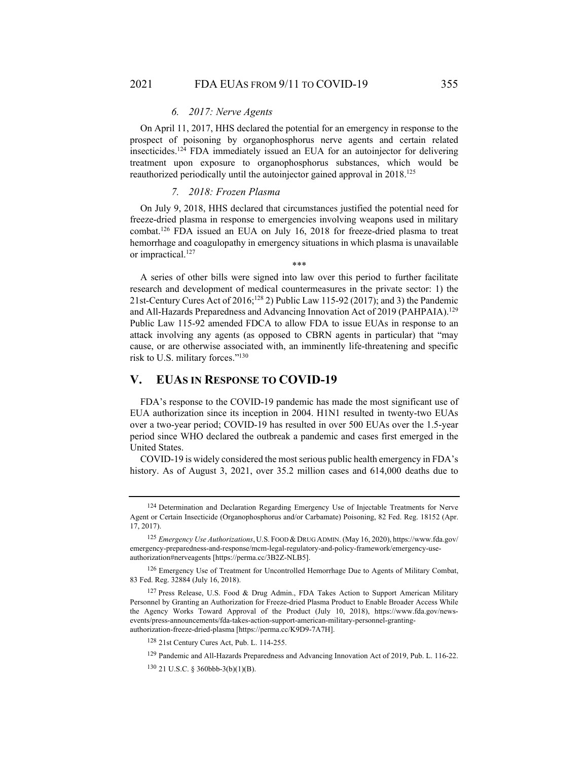#### *6. 2017: Nerve Agents*

On April 11, 2017, HHS declared the potential for an emergency in response to the prospect of poisoning by organophosphorus nerve agents and certain related insecticides.124 FDA immediately issued an EUA for an autoinjector for delivering treatment upon exposure to organophosphorus substances, which would be reauthorized periodically until the autoinjector gained approval in 2018.125

#### *7. 2018: Frozen Plasma*

On July 9, 2018, HHS declared that circumstances justified the potential need for freeze-dried plasma in response to emergencies involving weapons used in military combat.126 FDA issued an EUA on July 16, 2018 for freeze-dried plasma to treat hemorrhage and coagulopathy in emergency situations in which plasma is unavailable or impractical.<sup>127</sup>

\*\*\*

A series of other bills were signed into law over this period to further facilitate research and development of medical countermeasures in the private sector: 1) the 21st-Century Cures Act of 2016;128 2) Public Law 115-92 (2017); and 3) the Pandemic and All-Hazards Preparedness and Advancing Innovation Act of 2019 (PAHPAIA).<sup>129</sup> Public Law 115-92 amended FDCA to allow FDA to issue EUAs in response to an attack involving any agents (as opposed to CBRN agents in particular) that "may cause, or are otherwise associated with, an imminently life-threatening and specific risk to U.S. military forces."130

## **V. EUAS IN RESPONSE TO COVID-19**

FDA's response to the COVID-19 pandemic has made the most significant use of EUA authorization since its inception in 2004. H1N1 resulted in twenty-two EUAs over a two-year period; COVID-19 has resulted in over 500 EUAs over the 1.5-year period since WHO declared the outbreak a pandemic and cases first emerged in the United States.

COVID-19 is widely considered the most serious public health emergency in FDA's history. As of August 3, 2021, over 35.2 million cases and 614,000 deaths due to

<sup>&</sup>lt;sup>124</sup> Determination and Declaration Regarding Emergency Use of Injectable Treatments for Nerve Agent or Certain Insecticide (Organophosphorus and/or Carbamate) Poisoning, 82 Fed. Reg. 18152 (Apr. 17, 2017).

<sup>125</sup> *Emergency Use Authorizations*, U.S. FOOD & DRUG ADMIN. (May 16, 2020), https://www.fda.gov/ emergency-preparedness-and-response/mcm-legal-regulatory-and-policy-framework/emergency-useauthorization#nerveagents [https://perma.cc/3B2Z-NLB5].

<sup>126</sup> Emergency Use of Treatment for Uncontrolled Hemorrhage Due to Agents of Military Combat, 83 Fed. Reg. 32884 (July 16, 2018).

<sup>127</sup> Press Release, U.S. Food & Drug Admin., FDA Takes Action to Support American Military Personnel by Granting an Authorization for Freeze-dried Plasma Product to Enable Broader Access While the Agency Works Toward Approval of the Product (July 10, 2018), https://www.fda.gov/newsevents/press-announcements/fda-takes-action-support-american-military-personnel-grantingauthorization-freeze-dried-plasma [https://perma.cc/K9D9-7A7H].

<sup>128 21</sup>st Century Cures Act, Pub. L. 114-255.

<sup>129</sup> Pandemic and All-Hazards Preparedness and Advancing Innovation Act of 2019, Pub. L. 116-22.

<sup>130 21</sup> U.S.C. § 360bbb-3(b)(1)(B).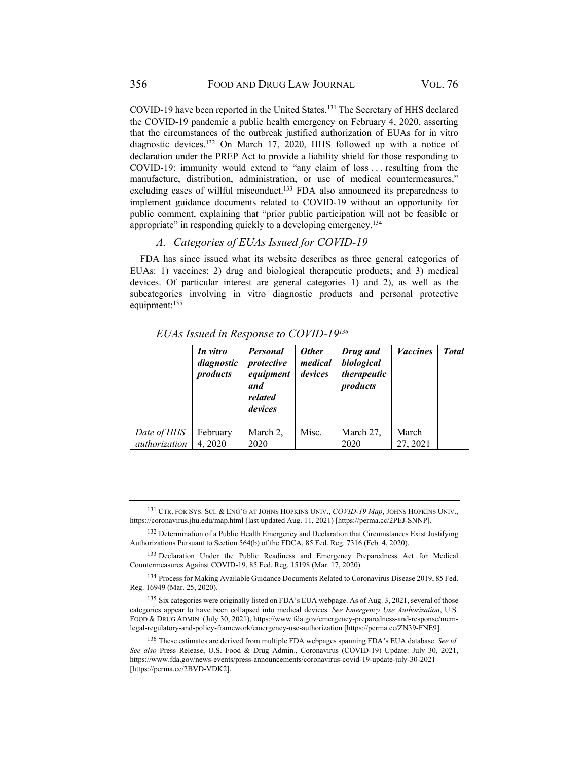COVID-19 have been reported in the United States.<sup>131</sup> The Secretary of HHS declared the COVID-19 pandemic a public health emergency on February 4, 2020, asserting that the circumstances of the outbreak justified authorization of EUAs for in vitro diagnostic devices.132 On March 17, 2020, HHS followed up with a notice of declaration under the PREP Act to provide a liability shield for those responding to COVID-19: immunity would extend to "any claim of loss . . . resulting from the manufacture, distribution, administration, or use of medical countermeasures," excluding cases of willful misconduct.<sup>133</sup> FDA also announced its preparedness to implement guidance documents related to COVID-19 without an opportunity for public comment, explaining that "prior public participation will not be feasible or appropriate" in responding quickly to a developing emergency.<sup>134</sup>

# *A. Categories of EUAs Issued for COVID-19*

FDA has since issued what its website describes as three general categories of EUAs: 1) vaccines; 2) drug and biological therapeutic products; and 3) medical devices. Of particular interest are general categories 1) and 2), as well as the subcategories involving in vitro diagnostic products and personal protective equipment:<sup>135</sup>

|               | In vitro<br>diagnostic<br>products | <b>Personal</b><br>protective<br>equipment<br>and<br>related<br>devices | <b>Other</b><br>medical<br>devices | Drug and<br>biological<br>therapeutic<br>products | <b>Vaccines</b> | <b>Total</b> |
|---------------|------------------------------------|-------------------------------------------------------------------------|------------------------------------|---------------------------------------------------|-----------------|--------------|
| Date of HHS   | February                           | March 2,                                                                | Misc.                              | March 27,                                         | March           |              |
| authorization | 4,2020                             | 2020                                                                    |                                    | 2020                                              | 27, 2021        |              |

*EUAs Issued in Response to COVID-19136*

<sup>131</sup> CTR. FOR SYS. SCI. & ENG'G AT JOHNS HOPKINS UNIV., *COVID-19 Map*, JOHNS HOPKINS UNIV., https://coronavirus.jhu.edu/map.html (last updated Aug. 11, 2021) [https://perma.cc/2PEJ-SNNP].

<sup>132</sup> Determination of a Public Health Emergency and Declaration that Circumstances Exist Justifying Authorizations Pursuant to Section 564(b) of the FDCA, 85 Fed. Reg. 7316 (Feb. 4, 2020).

<sup>133</sup> Declaration Under the Public Readiness and Emergency Preparedness Act for Medical Countermeasures Against COVID-19, 85 Fed. Reg. 15198 (Mar. 17, 2020).

<sup>134</sup> Process for Making Available Guidance Documents Related to Coronavirus Disease 2019, 85 Fed. Reg. 16949 (Mar. 25, 2020).

<sup>135</sup> Six categories were originally listed on FDA's EUA webpage. As of Aug. 3, 2021, several of those categories appear to have been collapsed into medical devices. *See Emergency Use Authorization*, U.S. FOOD & DRUG ADMIN. (July 30, 2021), https://www.fda.gov/emergency-preparedness-and-response/mcmlegal-regulatory-and-policy-framework/emergency-use-authorization [https://perma.cc/ZN39-FNE9].

<sup>136</sup> These estimates are derived from multiple FDA webpages spanning FDA's EUA database. *See id. See also* Press Release, U.S. Food & Drug Admin., Coronavirus (COVID-19) Update: July 30, 2021, https://www.fda.gov/news-events/press-announcements/coronavirus-covid-19-update-july-30-2021 [https://perma.cc/2BVD-VDK2].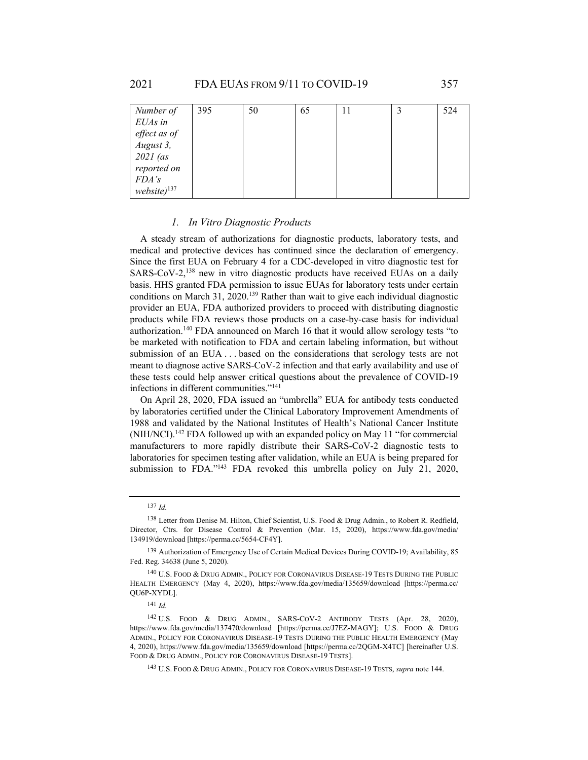| Number of        | 395 | 50 | 65 | 11 | 524 |
|------------------|-----|----|----|----|-----|
| EUAs in          |     |    |    |    |     |
| effect as of     |     |    |    |    |     |
| August 3,        |     |    |    |    |     |
| $2021$ (as       |     |    |    |    |     |
| reported on      |     |    |    |    |     |
| FDA's            |     |    |    |    |     |
| $website)^{137}$ |     |    |    |    |     |

#### *1. In Vitro Diagnostic Products*

A steady stream of authorizations for diagnostic products, laboratory tests, and medical and protective devices has continued since the declaration of emergency. Since the first EUA on February 4 for a CDC-developed in vitro diagnostic test for SARS-CoV-2,<sup>138</sup> new in vitro diagnostic products have received EUAs on a daily basis. HHS granted FDA permission to issue EUAs for laboratory tests under certain conditions on March 31, 2020.139 Rather than wait to give each individual diagnostic provider an EUA, FDA authorized providers to proceed with distributing diagnostic products while FDA reviews those products on a case-by-case basis for individual authorization.140 FDA announced on March 16 that it would allow serology tests "to be marketed with notification to FDA and certain labeling information, but without submission of an EUA . . . based on the considerations that serology tests are not meant to diagnose active SARS-CoV-2 infection and that early availability and use of these tests could help answer critical questions about the prevalence of COVID-19 infections in different communities."141

On April 28, 2020, FDA issued an "umbrella" EUA for antibody tests conducted by laboratories certified under the Clinical Laboratory Improvement Amendments of 1988 and validated by the National Institutes of Health's National Cancer Institute (NIH/NCI).142 FDA followed up with an expanded policy on May 11 "for commercial manufacturers to more rapidly distribute their SARS-CoV-2 diagnostic tests to laboratories for specimen testing after validation, while an EUA is being prepared for submission to FDA."143 FDA revoked this umbrella policy on July 21, 2020,

<sup>137</sup> *Id.*

<sup>138</sup> Letter from Denise M. Hilton, Chief Scientist, U.S. Food & Drug Admin., to Robert R. Redfield, Director, Ctrs. for Disease Control & Prevention (Mar. 15, 2020), https://www.fda.gov/media/ 134919/download [https://perma.cc/5654-CF4Y].

<sup>139</sup> Authorization of Emergency Use of Certain Medical Devices During COVID-19; Availability, 85 Fed. Reg. 34638 (June 5, 2020).

<sup>140</sup> U.S. FOOD & DRUG ADMIN., POLICY FOR CORONAVIRUS DISEASE-19 TESTS DURING THE PUBLIC HEALTH EMERGENCY (May 4, 2020), https://www.fda.gov/media/135659/download [https://perma.cc/ QU6P-XYDL].

<sup>141</sup> *Id.*

<sup>142</sup> U.S. FOOD & DRUG ADMIN., SARS-COV-2 ANTIBODY TESTS (Apr. 28, 2020), https://www.fda.gov/media/137470/download [https://perma.cc/J7EZ-MAGY]; U.S. FOOD & DRUG ADMIN., POLICY FOR CORONAVIRUS DISEASE-19 TESTS DURING THE PUBLIC HEALTH EMERGENCY (May 4, 2020), https://www.fda.gov/media/135659/download [https://perma.cc/2QGM-X4TC] [hereinafter U.S. FOOD & DRUG ADMIN., POLICY FOR CORONAVIRUS DISEASE-19 TESTS].

<sup>143</sup> U.S. FOOD & DRUG ADMIN., POLICY FOR CORONAVIRUS DISEASE-19 TESTS, *supra* note 144.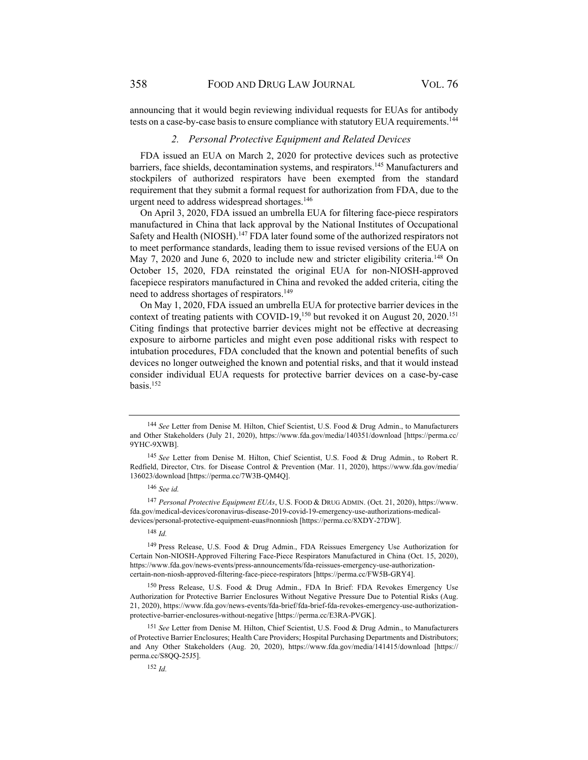announcing that it would begin reviewing individual requests for EUAs for antibody tests on a case-by-case basis to ensure compliance with statutory EUA requirements.<sup>144</sup>

#### *2. Personal Protective Equipment and Related Devices*

FDA issued an EUA on March 2, 2020 for protective devices such as protective barriers, face shields, decontamination systems, and respirators.145 Manufacturers and stockpilers of authorized respirators have been exempted from the standard requirement that they submit a formal request for authorization from FDA, due to the urgent need to address widespread shortages.<sup>146</sup>

On April 3, 2020, FDA issued an umbrella EUA for filtering face-piece respirators manufactured in China that lack approval by the National Institutes of Occupational Safety and Health (NIOSH).<sup>147</sup> FDA later found some of the authorized respirators not to meet performance standards, leading them to issue revised versions of the EUA on May 7, 2020 and June 6, 2020 to include new and stricter eligibility criteria.<sup>148</sup> On October 15, 2020, FDA reinstated the original EUA for non-NIOSH-approved facepiece respirators manufactured in China and revoked the added criteria, citing the need to address shortages of respirators.149

On May 1, 2020, FDA issued an umbrella EUA for protective barrier devices in the context of treating patients with COVID-19,<sup>150</sup> but revoked it on August 20, 2020.<sup>151</sup> Citing findings that protective barrier devices might not be effective at decreasing exposure to airborne particles and might even pose additional risks with respect to intubation procedures, FDA concluded that the known and potential benefits of such devices no longer outweighed the known and potential risks, and that it would instead consider individual EUA requests for protective barrier devices on a case-by-case basis.152

<sup>148</sup> *Id.*

<sup>149</sup> Press Release, U.S. Food & Drug Admin., FDA Reissues Emergency Use Authorization for Certain Non-NIOSH-Approved Filtering Face-Piece Respirators Manufactured in China (Oct. 15, 2020), https://www.fda.gov/news-events/press-announcements/fda-reissues-emergency-use-authorizationcertain-non-niosh-approved-filtering-face-piece-respirators [https://perma.cc/FW5B-GRY4].

<sup>150</sup> Press Release, U.S. Food & Drug Admin., FDA In Brief: FDA Revokes Emergency Use Authorization for Protective Barrier Enclosures Without Negative Pressure Due to Potential Risks (Aug. 21, 2020), https://www.fda.gov/news-events/fda-brief/fda-brief-fda-revokes-emergency-use-authorizationprotective-barrier-enclosures-without-negative [https://perma.cc/E3RA-PVGK].

<sup>151</sup> *See* Letter from Denise M. Hilton, Chief Scientist, U.S. Food & Drug Admin., to Manufacturers of Protective Barrier Enclosures; Health Care Providers; Hospital Purchasing Departments and Distributors; and Any Other Stakeholders (Aug. 20, 2020), https://www.fda.gov/media/141415/download [https:// perma.cc/S8QQ-25J5].

<sup>152</sup> *Id.*

<sup>144</sup> *See* Letter from Denise M. Hilton, Chief Scientist, U.S. Food & Drug Admin., to Manufacturers and Other Stakeholders (July 21, 2020), https://www.fda.gov/media/140351/download [https://perma.cc/ 9YHC-9XWB].

<sup>145</sup> *See* Letter from Denise M. Hilton, Chief Scientist, U.S. Food & Drug Admin., to Robert R. Redfield, Director, Ctrs. for Disease Control & Prevention (Mar. 11, 2020), https://www.fda.gov/media/ 136023/download [https://perma.cc/7W3B-QM4Q].

<sup>146</sup> *See id.*

<sup>147</sup> *Personal Protective Equipment EUAs*, U.S. FOOD & DRUG ADMIN. (Oct. 21, 2020), https://www. fda.gov/medical-devices/coronavirus-disease-2019-covid-19-emergency-use-authorizations-medicaldevices/personal-protective-equipment-euas#nonniosh [https://perma.cc/8XDY-27DW].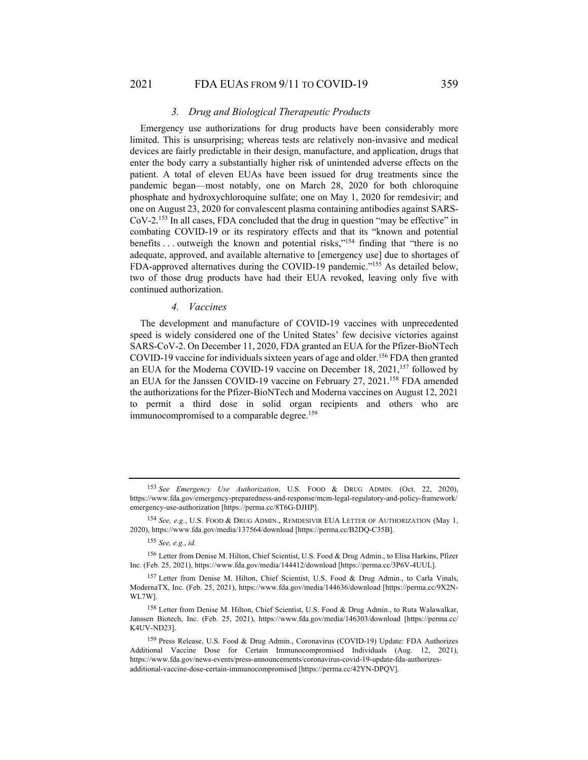#### 2021 FDA EUAS FROM 9/11 TO COVID-19 359

#### *3. Drug and Biological Therapeutic Products*

Emergency use authorizations for drug products have been considerably more limited. This is unsurprising; whereas tests are relatively non-invasive and medical devices are fairly predictable in their design, manufacture, and application, drugs that enter the body carry a substantially higher risk of unintended adverse effects on the patient. A total of eleven EUAs have been issued for drug treatments since the pandemic began—most notably, one on March 28, 2020 for both chloroquine phosphate and hydroxychloroquine sulfate; one on May 1, 2020 for remdesivir; and one on August 23, 2020 for convalescent plasma containing antibodies against SARS-CoV-2.153 In all cases, FDA concluded that the drug in question "may be effective" in combating COVID-19 or its respiratory effects and that its "known and potential benefits . . . outweigh the known and potential risks,"154 finding that "there is no adequate, approved, and available alternative to [emergency use] due to shortages of FDA-approved alternatives during the COVID-19 pandemic."155 As detailed below, two of those drug products have had their EUA revoked, leaving only five with continued authorization.

#### *4. Vaccines*

The development and manufacture of COVID-19 vaccines with unprecedented speed is widely considered one of the United States' few decisive victories against SARS-CoV-2. On December 11, 2020, FDA granted an EUA for the Pfizer-BioNTech COVID-19 vaccine for individuals sixteen years of age and older.<sup>156</sup> FDA then granted an EUA for the Moderna COVID-19 vaccine on December 18, 2021,<sup>157</sup> followed by an EUA for the Janssen COVID-19 vaccine on February 27, 2021.<sup>158</sup> FDA amended the authorizations for the Pfizer-BioNTech and Moderna vaccines on August 12, 2021 to permit a third dose in solid organ recipients and others who are immunocompromised to a comparable degree.<sup>159</sup>

<sup>153</sup> *See Emergency Use Authorization*, U.S. FOOD & DRUG ADMIN. (Oct. 22, 2020), https://www.fda.gov/emergency-preparedness-and-response/mcm-legal-regulatory-and-policy-framework/ emergency-use-authorization [https://perma.cc/8T6G-DJHP].

<sup>154</sup> *See, e.g.*, U.S. FOOD & DRUG ADMIN., REMDESIVIR EUA LETTER OF AUTHORIZATION (May 1, 2020), https://www.fda.gov/media/137564/download [https://perma.cc/B2DQ-C35B].

<sup>155</sup> *See, e.g.*, *id.*

<sup>156</sup> Letter from Denise M. Hilton, Chief Scientist, U.S. Food & Drug Admin., to Elisa Harkins, Pfizer Inc. (Feb. 25, 2021), https://www.fda.gov/media/144412/download [https://perma.cc/3P6V-4UUL].

<sup>157</sup> Letter from Denise M. Hilton, Chief Scientist, U.S. Food & Drug Admin., to Carla Vinals, ModernaTX, Inc. (Feb. 25, 2021), https://www.fda.gov/media/144636/download [https://perma.cc/9X2N-WL7W].

<sup>158</sup> Letter from Denise M. Hilton, Chief Scientist, U.S. Food & Drug Admin., to Ruta Walawalkar, Janssen Biotech, Inc. (Feb. 25, 2021), https://www.fda.gov/media/146303/download [https://perma.cc/ K4UV-ND23].

<sup>159</sup> Press Release, U.S. Food & Drug Admin., Coronavirus (COVID-19) Update: FDA Authorizes Additional Vaccine Dose for Certain Immunocompromised Individuals (Aug. 12, 2021), https://www.fda.gov/news-events/press-announcements/coronavirus-covid-19-update-fda-authorizesadditional-vaccine-dose-certain-immunocompromised [https://perma.cc/42YN-DPQV].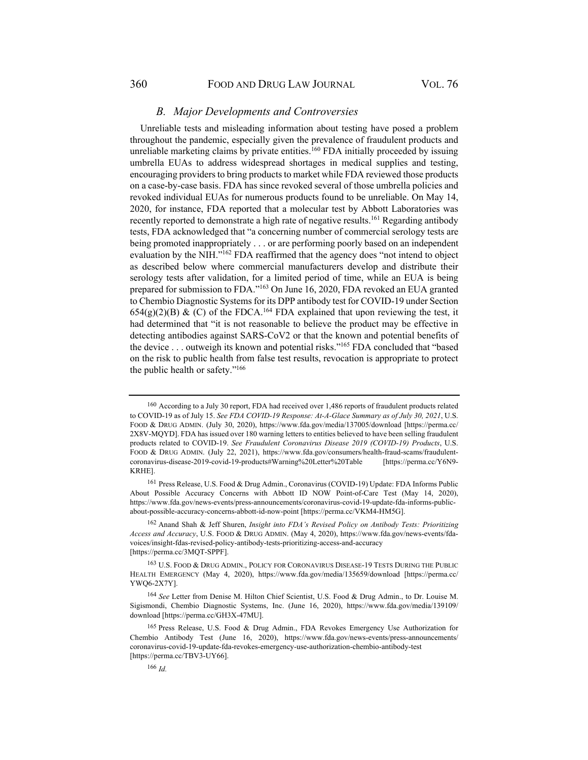#### *B. Major Developments and Controversies*

Unreliable tests and misleading information about testing have posed a problem throughout the pandemic, especially given the prevalence of fraudulent products and unreliable marketing claims by private entities.<sup>160</sup> FDA initially proceeded by issuing umbrella EUAs to address widespread shortages in medical supplies and testing, encouraging providers to bring products to market while FDA reviewed those products on a case-by-case basis. FDA has since revoked several of those umbrella policies and revoked individual EUAs for numerous products found to be unreliable. On May 14, 2020, for instance, FDA reported that a molecular test by Abbott Laboratories was recently reported to demonstrate a high rate of negative results.<sup>161</sup> Regarding antibody tests, FDA acknowledged that "a concerning number of commercial serology tests are being promoted inappropriately . . . or are performing poorly based on an independent evaluation by the NIH."162 FDA reaffirmed that the agency does "not intend to object as described below where commercial manufacturers develop and distribute their serology tests after validation, for a limited period of time, while an EUA is being prepared for submission to FDA."163 On June 16, 2020, FDA revoked an EUA granted to Chembio Diagnostic Systems for its DPP antibody test for COVID-19 under Section  $654(g)(2)(B)$  & (C) of the FDCA.<sup>164</sup> FDA explained that upon reviewing the test, it had determined that "it is not reasonable to believe the product may be effective in detecting antibodies against SARS-CoV2 or that the known and potential benefits of the device . . . outweigh its known and potential risks."165 FDA concluded that "based on the risk to public health from false test results, revocation is appropriate to protect the public health or safety."166

<sup>160</sup> According to a July 30 report, FDA had received over 1,486 reports of fraudulent products related to COVID-19 as of July 15. *See FDA COVID-19 Response: At-A-Glace Summary as of July 30, 2021*, U.S. FOOD & DRUG ADMIN. (July 30, 2020), https://www.fda.gov/media/137005/download [https://perma.cc/ 2X8V-MQYD]. FDA has issued over 180 warning letters to entities believed to have been selling fraudulent products related to COVID-19. *See Fraudulent Coronavirus Disease 2019 (COVID-19) Products*, U.S. FOOD & DRUG ADMIN. (July 22, 2021), https://www.fda.gov/consumers/health-fraud-scams/fraudulentcoronavirus-disease-2019-covid-19-products#Warning%20Letter%20Table [https://perma.cc/Y6N9- KRHE].

<sup>161</sup> Press Release, U.S. Food & Drug Admin., Coronavirus (COVID-19) Update: FDA Informs Public About Possible Accuracy Concerns with Abbott ID NOW Point-of-Care Test (May 14, 2020), https://www.fda.gov/news-events/press-announcements/coronavirus-covid-19-update-fda-informs-publicabout-possible-accuracy-concerns-abbott-id-now-point [https://perma.cc/VKM4-HM5G].

<sup>162</sup> Anand Shah & Jeff Shuren, *Insight into FDA's Revised Policy on Antibody Tests: Prioritizing Access and Accuracy*, U.S. FOOD & DRUG ADMIN. (May 4, 2020), https://www.fda.gov/news-events/fdavoices/insight-fdas-revised-policy-antibody-tests-prioritizing-access-and-accuracy [https://perma.cc/3MQT-SPPF].

<sup>163</sup> U.S. FOOD & DRUG ADMIN., POLICY FOR CORONAVIRUS DISEASE-19 TESTS DURING THE PUBLIC HEALTH EMERGENCY (May 4, 2020), https://www.fda.gov/media/135659/download [https://perma.cc/ YWQ6-2X7Y].

<sup>164</sup> *See* Letter from Denise M. Hilton Chief Scientist, U.S. Food & Drug Admin., to Dr. Louise M. Sigismondi, Chembio Diagnostic Systems, Inc. (June 16, 2020), https://www.fda.gov/media/139109/ download [https://perma.cc/GH3X-47MU].

<sup>165</sup> Press Release, U.S. Food & Drug Admin., FDA Revokes Emergency Use Authorization for Chembio Antibody Test (June 16, 2020), https://www.fda.gov/news-events/press-announcements/ coronavirus-covid-19-update-fda-revokes-emergency-use-authorization-chembio-antibody-test [https://perma.cc/TBV3-UY66].

<sup>166</sup> *Id.*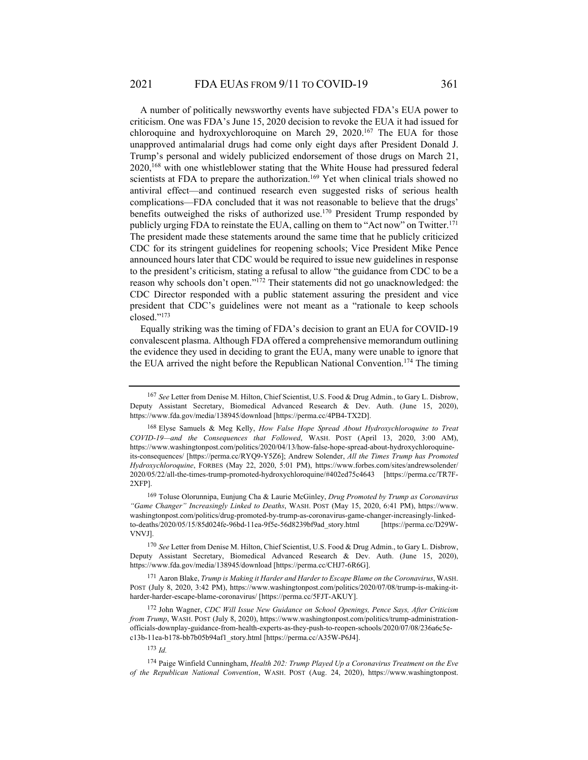A number of politically newsworthy events have subjected FDA's EUA power to criticism. One was FDA's June 15, 2020 decision to revoke the EUA it had issued for chloroquine and hydroxychloroquine on March 29, 2020.<sup>167</sup> The EUA for those unapproved antimalarial drugs had come only eight days after President Donald J. Trump's personal and widely publicized endorsement of those drugs on March 21, 2020,168 with one whistleblower stating that the White House had pressured federal scientists at FDA to prepare the authorization.<sup>169</sup> Yet when clinical trials showed no antiviral effect—and continued research even suggested risks of serious health complications—FDA concluded that it was not reasonable to believe that the drugs' benefits outweighed the risks of authorized use.<sup>170</sup> President Trump responded by publicly urging FDA to reinstate the EUA, calling on them to "Act now" on Twitter.171 The president made these statements around the same time that he publicly criticized CDC for its stringent guidelines for reopening schools; Vice President Mike Pence announced hours later that CDC would be required to issue new guidelines in response to the president's criticism, stating a refusal to allow "the guidance from CDC to be a reason why schools don't open."172 Their statements did not go unacknowledged: the CDC Director responded with a public statement assuring the president and vice president that CDC's guidelines were not meant as a "rationale to keep schools closed."173

Equally striking was the timing of FDA's decision to grant an EUA for COVID-19 convalescent plasma. Although FDA offered a comprehensive memorandum outlining the evidence they used in deciding to grant the EUA, many were unable to ignore that the EUA arrived the night before the Republican National Convention.<sup>174</sup> The timing

171 Aaron Blake, *Trump is Making it Harder and Harder to Escape Blame on the Coronavirus*, WASH. POST (July 8, 2020, 3:42 PM), https://www.washingtonpost.com/politics/2020/07/08/trump-is-making-itharder-harder-escape-blame-coronavirus/ [https://perma.cc/5FJT-AKUY].

172 John Wagner, *CDC Will Issue New Guidance on School Openings, Pence Says, After Criticism from Trump*, WASH. POST (July 8, 2020), https://www.washingtonpost.com/politics/trump-administrationofficials-downplay-guidance-from-health-experts-as-they-push-to-reopen-schools/2020/07/08/236a6c5ec13b-11ea-b178-bb7b05b94af1\_story.html [https://perma.cc/A35W-P6J4].

<sup>173</sup> *Id.*

<sup>167</sup> *See* Letter from Denise M. Hilton, Chief Scientist, U.S. Food & Drug Admin., to Gary L. Disbrow, Deputy Assistant Secretary, Biomedical Advanced Research & Dev. Auth. (June 15, 2020), https://www.fda.gov/media/138945/download [https://perma.cc/4PB4-TX2D].

<sup>168</sup> Elyse Samuels & Meg Kelly, *How False Hope Spread About Hydroxychloroquine to Treat COVID-19—and the Consequences that Followed*, WASH. POST (April 13, 2020, 3:00 AM), https://www.washingtonpost.com/politics/2020/04/13/how-false-hope-spread-about-hydroxychloroquineits-consequences/ [https://perma.cc/RYQ9-Y5Z6]; Andrew Solender, *All the Times Trump has Promoted Hydroxychloroquine*, FORBES (May 22, 2020, 5:01 PM), https://www.forbes.com/sites/andrewsolender/ 2020/05/22/all-the-times-trump-promoted-hydroxychloroquine/#402ed75c4643 [https://perma.cc/TR7F-2XFP].

<sup>169</sup> Toluse Olorunnipa, Eunjung Cha & Laurie McGinley, *Drug Promoted by Trump as Coronavirus "Game Changer" Increasingly Linked to Deaths*, WASH. POST (May 15, 2020, 6:41 PM), https://www. washingtonpost.com/politics/drug-promoted-by-trump-as-coronavirus-game-changer-increasingly-linkedto-deaths/2020/05/15/85d024fe-96bd-11ea-9f5e-56d8239bf9ad\_story.html [https://perma.cc/D29W-VNVJ].

<sup>170</sup> *See* Letter from Denise M. Hilton, Chief Scientist, U.S. Food & Drug Admin., to Gary L. Disbrow, Deputy Assistant Secretary, Biomedical Advanced Research & Dev. Auth. (June 15, 2020), https://www.fda.gov/media/138945/download [https://perma.cc/CHJ7-6R6G].

<sup>174</sup> Paige Winfield Cunningham, *Health 202: Trump Played Up a Coronavirus Treatment on the Eve of the Republican National Convention*, WASH. POST (Aug. 24, 2020), https://www.washingtonpost.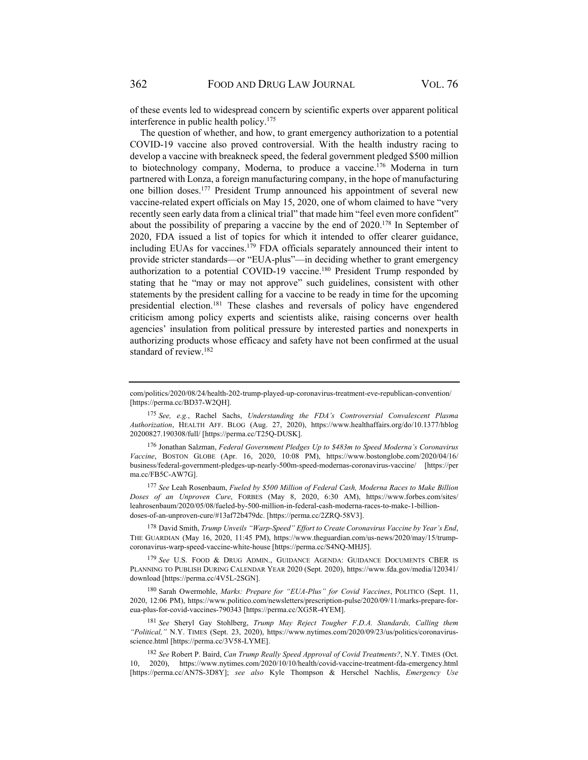of these events led to widespread concern by scientific experts over apparent political interference in public health policy.175

The question of whether, and how, to grant emergency authorization to a potential COVID-19 vaccine also proved controversial. With the health industry racing to develop a vaccine with breakneck speed, the federal government pledged \$500 million to biotechnology company, Moderna, to produce a vaccine.<sup>176</sup> Moderna in turn partnered with Lonza, a foreign manufacturing company, in the hope of manufacturing one billion doses.177 President Trump announced his appointment of several new vaccine-related expert officials on May 15, 2020, one of whom claimed to have "very recently seen early data from a clinical trial" that made him "feel even more confident" about the possibility of preparing a vaccine by the end of  $2020$ .<sup>178</sup> In September of 2020, FDA issued a list of topics for which it intended to offer clearer guidance, including EUAs for vaccines.<sup>179</sup> FDA officials separately announced their intent to provide stricter standards—or "EUA-plus"—in deciding whether to grant emergency authorization to a potential COVID-19 vaccine.<sup>180</sup> President Trump responded by stating that he "may or may not approve" such guidelines, consistent with other statements by the president calling for a vaccine to be ready in time for the upcoming presidential election.<sup>181</sup> These clashes and reversals of policy have engendered criticism among policy experts and scientists alike, raising concerns over health agencies' insulation from political pressure by interested parties and nonexperts in authorizing products whose efficacy and safety have not been confirmed at the usual standard of review.182

<sup>175</sup> *See, e.g.*, Rachel Sachs, *Understanding the FDA's Controversial Convalescent Plasma Authorization*, HEALTH AFF. BLOG (Aug. 27, 2020), https://www.healthaffairs.org/do/10.1377/hblog 20200827.190308/full/ [https://perma.cc/T25Q-DUSK].

176 Jonathan Salzman, *Federal Government Pledges Up to \$483m to Speed Moderna's Coronavirus Vaccine*, BOSTON GLOBE (Apr. 16, 2020, 10:08 PM), https://www.bostonglobe.com/2020/04/16/ business/federal-government-pledges-up-nearly-500m-speed-modernas-coronavirus-vaccine/ [https://per ma.cc/FB5C-AW7G].

<sup>177</sup> *See* Leah Rosenbaum, *Fueled by \$500 Million of Federal Cash, Moderna Races to Make Billion Doses of an Unproven Cure*, FORBES (May 8, 2020, 6:30 AM), https://www.forbes.com/sites/ leahrosenbaum/2020/05/08/fueled-by-500-million-in-federal-cash-moderna-races-to-make-1-billiondoses-of-an-unproven-cure/#13af72b479dc. [https://perma.cc/2ZRQ-58V3].

178 David Smith, *Trump Unveils "Warp-Speed" Effort to Create Coronavirus Vaccine by Year's End*, THE GUARDIAN (May 16, 2020, 11:45 PM), https://www.theguardian.com/us-news/2020/may/15/trumpcoronavirus-warp-speed-vaccine-white-house [https://perma.cc/S4NQ-MHJ5].

<sup>179</sup> *See* U.S. FOOD & DRUG ADMIN., GUIDANCE AGENDA: GUIDANCE DOCUMENTS CBER IS PLANNING TO PUBLISH DURING CALENDAR YEAR 2020 (Sept. 2020), https://www.fda.gov/media/120341/ download [https://perma.cc/4V5L-2SGN].

180 Sarah Owermohle, *Marks: Prepare for "EUA-Plus" for Covid Vaccines*, POLITICO (Sept. 11, 2020, 12:06 PM), https://www.politico.com/newsletters/prescription-pulse/2020/09/11/marks-prepare-foreua-plus-for-covid-vaccines-790343 [https://perma.cc/XG5R-4YEM].

<sup>181</sup> *See* Sheryl Gay Stohlberg, *Trump May Reject Tougher F.D.A. Standards, Calling them "Political,"* N.Y. TIMES (Sept. 23, 2020), https://www.nytimes.com/2020/09/23/us/politics/coronavirusscience.html [https://perma.cc/3V58-LYME].

<sup>182</sup> *See* Robert P. Baird, *Can Trump Really Speed Approval of Covid Treatments?*, N.Y. TIMES (Oct. 10, 2020), https://www.nytimes.com/2020/10/10/health/covid-vaccine-treatment-fda-emergency.html [https://perma.cc/AN7S-3D8Y]; *see also* Kyle Thompson & Herschel Nachlis, *Emergency Use* 

com/politics/2020/08/24/health-202-trump-played-up-coronavirus-treatment-eve-republican-convention/ [https://perma.cc/BD37-W2QH].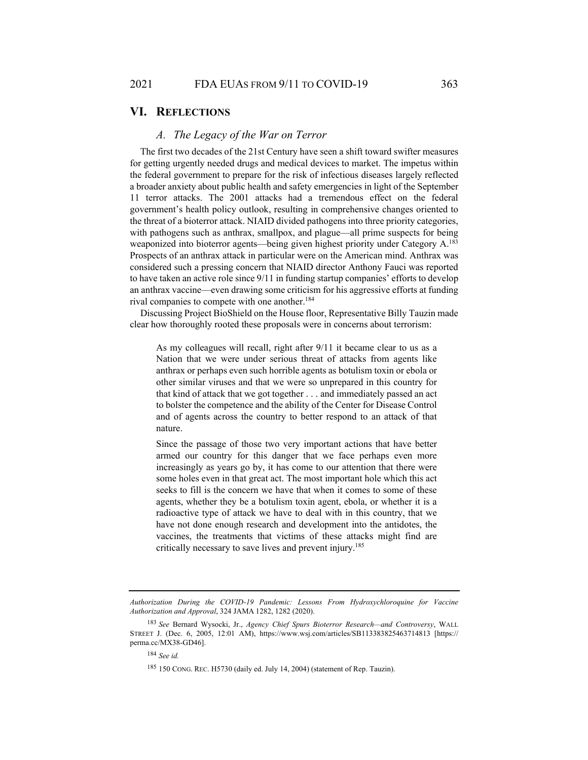## **VI. REFLECTIONS**

#### *A. The Legacy of the War on Terror*

The first two decades of the 21st Century have seen a shift toward swifter measures for getting urgently needed drugs and medical devices to market. The impetus within the federal government to prepare for the risk of infectious diseases largely reflected a broader anxiety about public health and safety emergencies in light of the September 11 terror attacks. The 2001 attacks had a tremendous effect on the federal government's health policy outlook, resulting in comprehensive changes oriented to the threat of a bioterror attack. NIAID divided pathogens into three priority categories, with pathogens such as anthrax, smallpox, and plague—all prime suspects for being weaponized into bioterror agents—being given highest priority under Category A.<sup>183</sup> Prospects of an anthrax attack in particular were on the American mind. Anthrax was considered such a pressing concern that NIAID director Anthony Fauci was reported to have taken an active role since 9/11 in funding startup companies' efforts to develop an anthrax vaccine—even drawing some criticism for his aggressive efforts at funding rival companies to compete with one another.<sup>184</sup>

Discussing Project BioShield on the House floor, Representative Billy Tauzin made clear how thoroughly rooted these proposals were in concerns about terrorism:

As my colleagues will recall, right after 9/11 it became clear to us as a Nation that we were under serious threat of attacks from agents like anthrax or perhaps even such horrible agents as botulism toxin or ebola or other similar viruses and that we were so unprepared in this country for that kind of attack that we got together . . . and immediately passed an act to bolster the competence and the ability of the Center for Disease Control and of agents across the country to better respond to an attack of that nature.

Since the passage of those two very important actions that have better armed our country for this danger that we face perhaps even more increasingly as years go by, it has come to our attention that there were some holes even in that great act. The most important hole which this act seeks to fill is the concern we have that when it comes to some of these agents, whether they be a botulism toxin agent, ebola, or whether it is a radioactive type of attack we have to deal with in this country, that we have not done enough research and development into the antidotes, the vaccines, the treatments that victims of these attacks might find are critically necessary to save lives and prevent injury.185

*Authorization During the COVID-19 Pandemic: Lessons From Hydroxychloroquine for Vaccine Authorization and Approval*, 324 JAMA 1282, 1282 (2020).

<sup>183</sup> *See* Bernard Wysocki, Jr., *Agency Chief Spurs Bioterror Research—and Controversy*, WALL STREET J. (Dec. 6, 2005, 12:01 AM), https://www.wsj.com/articles/SB113383825463714813 [https:// perma.cc/MX38-GD46].

<sup>184</sup> *See id.*

<sup>185 150</sup> CONG. REC. H5730 (daily ed. July 14, 2004) (statement of Rep. Tauzin).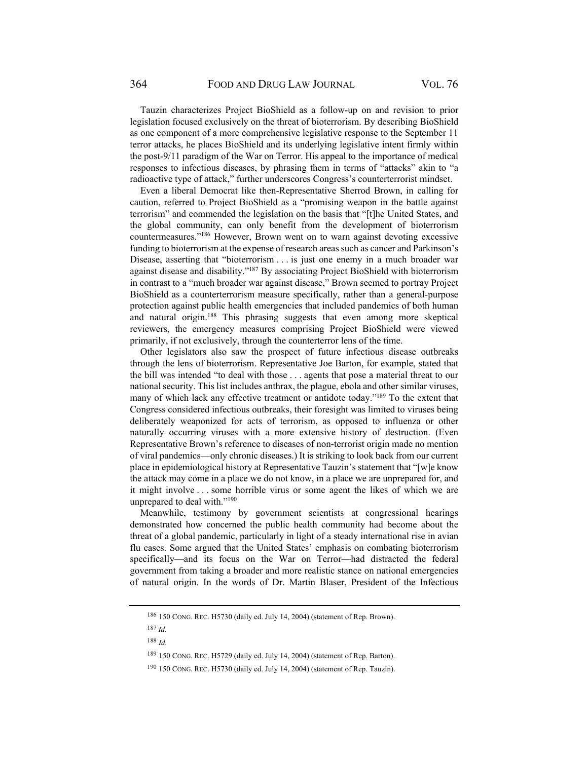Tauzin characterizes Project BioShield as a follow-up on and revision to prior legislation focused exclusively on the threat of bioterrorism. By describing BioShield as one component of a more comprehensive legislative response to the September 11 terror attacks, he places BioShield and its underlying legislative intent firmly within the post-9/11 paradigm of the War on Terror. His appeal to the importance of medical responses to infectious diseases, by phrasing them in terms of "attacks" akin to "a radioactive type of attack," further underscores Congress's counterterrorist mindset.

Even a liberal Democrat like then-Representative Sherrod Brown, in calling for caution, referred to Project BioShield as a "promising weapon in the battle against terrorism" and commended the legislation on the basis that "[t]he United States, and the global community, can only benefit from the development of bioterrorism countermeasures."186 However, Brown went on to warn against devoting excessive funding to bioterrorism at the expense of research areas such as cancer and Parkinson's Disease, asserting that "bioterrorism . . . is just one enemy in a much broader war against disease and disability."187 By associating Project BioShield with bioterrorism in contrast to a "much broader war against disease," Brown seemed to portray Project BioShield as a counterterrorism measure specifically, rather than a general-purpose protection against public health emergencies that included pandemics of both human and natural origin.<sup>188</sup> This phrasing suggests that even among more skeptical reviewers, the emergency measures comprising Project BioShield were viewed primarily, if not exclusively, through the counterterror lens of the time.

Other legislators also saw the prospect of future infectious disease outbreaks through the lens of bioterrorism. Representative Joe Barton, for example, stated that the bill was intended "to deal with those . . . agents that pose a material threat to our national security. This list includes anthrax, the plague, ebola and other similar viruses, many of which lack any effective treatment or antidote today."189 To the extent that Congress considered infectious outbreaks, their foresight was limited to viruses being deliberately weaponized for acts of terrorism, as opposed to influenza or other naturally occurring viruses with a more extensive history of destruction. (Even Representative Brown's reference to diseases of non-terrorist origin made no mention of viral pandemics—only chronic diseases.) It is striking to look back from our current place in epidemiological history at Representative Tauzin's statement that "[w]e know the attack may come in a place we do not know, in a place we are unprepared for, and it might involve . . . some horrible virus or some agent the likes of which we are unprepared to deal with."<sup>190</sup>

Meanwhile, testimony by government scientists at congressional hearings demonstrated how concerned the public health community had become about the threat of a global pandemic, particularly in light of a steady international rise in avian flu cases. Some argued that the United States' emphasis on combating bioterrorism specifically—and its focus on the War on Terror—had distracted the federal government from taking a broader and more realistic stance on national emergencies of natural origin. In the words of Dr. Martin Blaser, President of the Infectious

<sup>186 150</sup> CONG. REC. H5730 (daily ed. July 14, 2004) (statement of Rep. Brown).

<sup>187</sup> *Id.*

<sup>188</sup> *Id.*

<sup>189 150</sup> CONG. REC. H5729 (daily ed. July 14, 2004) (statement of Rep. Barton).

<sup>190 150</sup> CONG. REC. H5730 (daily ed. July 14, 2004) (statement of Rep. Tauzin).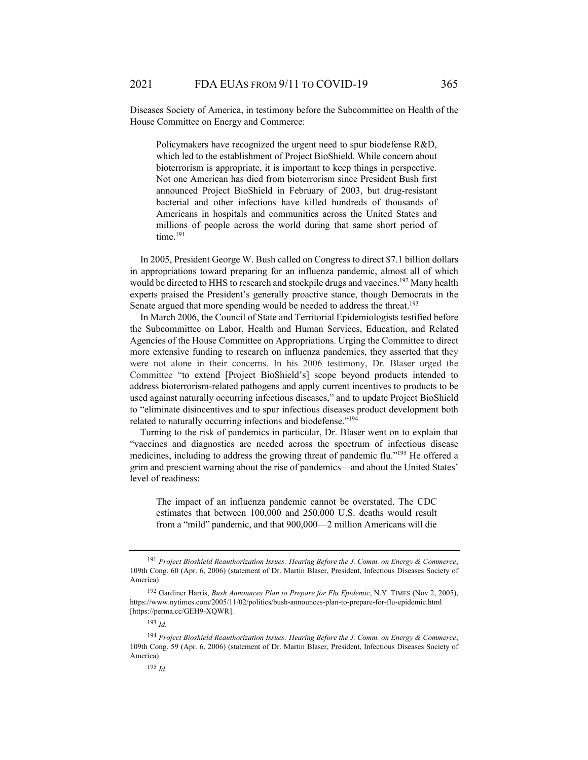Diseases Society of America, in testimony before the Subcommittee on Health of the House Committee on Energy and Commerce:

Policymakers have recognized the urgent need to spur biodefense R&D, which led to the establishment of Project BioShield. While concern about bioterrorism is appropriate, it is important to keep things in perspective. Not one American has died from bioterrorism since President Bush first announced Project BioShield in February of 2003, but drug-resistant bacterial and other infections have killed hundreds of thousands of Americans in hospitals and communities across the United States and millions of people across the world during that same short period of time.<sup>191</sup>

In 2005, President George W. Bush called on Congress to direct \$7.1 billion dollars in appropriations toward preparing for an influenza pandemic, almost all of which would be directed to HHS to research and stockpile drugs and vaccines.<sup>192</sup> Many health experts praised the President's generally proactive stance, though Democrats in the Senate argued that more spending would be needed to address the threat.<sup>193</sup>

In March 2006, the Council of State and Territorial Epidemiologists testified before the Subcommittee on Labor, Health and Human Services, Education, and Related Agencies of the House Committee on Appropriations. Urging the Committee to direct more extensive funding to research on influenza pandemics, they asserted that they were not alone in their concerns. In his 2006 testimony, Dr. Blaser urged the Committee "to extend [Project BioShield's] scope beyond products intended to address bioterrorism-related pathogens and apply current incentives to products to be used against naturally occurring infectious diseases," and to update Project BioShield to "eliminate disincentives and to spur infectious diseases product development both related to naturally occurring infections and biodefense."<sup>194</sup>

Turning to the risk of pandemics in particular, Dr. Blaser went on to explain that "vaccines and diagnostics are needed across the spectrum of infectious disease medicines, including to address the growing threat of pandemic flu."195 He offered a grim and prescient warning about the rise of pandemics—and about the United States' level of readiness:

The impact of an influenza pandemic cannot be overstated. The CDC estimates that between 100,000 and 250,000 U.S. deaths would result from a "mild" pandemic, and that 900,000—2 million Americans will die

<sup>191</sup> *Project Bioshield Reauthorization Issues: Hearing Before the J. Comm. on Energy & Commerce*, 109th Cong. 60 (Apr. 6, 2006) (statement of Dr. Martin Blaser, President, Infectious Diseases Society of America).

<sup>192</sup> Gardiner Harris, *Bush Announces Plan to Prepare for Flu Epidemic*, N.Y. TIMES (Nov 2, 2005), https://www.nytimes.com/2005/11/02/politics/bush-announces-plan-to-prepare-for-flu-epidemic.html [https://perma.cc/GEH9-XQWR].

<sup>193</sup> *Id.*

<sup>194</sup> *Project Bioshield Reauthorization Issues: Hearing Before the J. Comm. on Energy & Commerce*, 109th Cong. 59 (Apr. 6, 2006) (statement of Dr. Martin Blaser, President, Infectious Diseases Society of America).

<sup>195</sup> *Id.*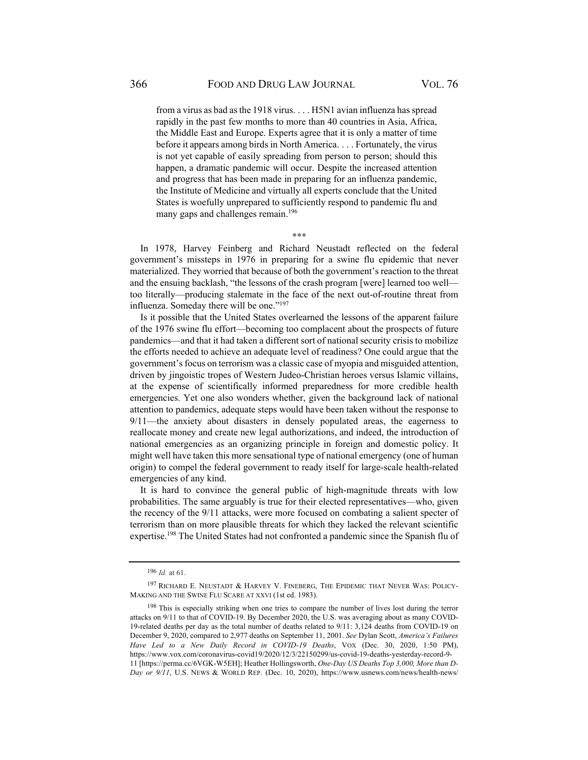from a virus as bad as the 1918 virus. . . . H5N1 avian influenza has spread rapidly in the past few months to more than 40 countries in Asia, Africa, the Middle East and Europe. Experts agree that it is only a matter of time before it appears among birds in North America. . . . Fortunately, the virus is not yet capable of easily spreading from person to person; should this happen, a dramatic pandemic will occur. Despite the increased attention and progress that has been made in preparing for an influenza pandemic, the Institute of Medicine and virtually all experts conclude that the United States is woefully unprepared to sufficiently respond to pandemic flu and many gaps and challenges remain.<sup>196</sup>

\*\*\*

In 1978, Harvey Feinberg and Richard Neustadt reflected on the federal government's missteps in 1976 in preparing for a swine flu epidemic that never materialized. They worried that because of both the government's reaction to the threat and the ensuing backlash, "the lessons of the crash program [were] learned too well too literally—producing stalemate in the face of the next out-of-routine threat from influenza. Someday there will be one."<sup>197</sup>

Is it possible that the United States overlearned the lessons of the apparent failure of the 1976 swine flu effort—becoming too complacent about the prospects of future pandemics—and that it had taken a different sort of national security crisis to mobilize the efforts needed to achieve an adequate level of readiness? One could argue that the government's focus on terrorism was a classic case of myopia and misguided attention, driven by jingoistic tropes of Western Judeo-Christian heroes versus Islamic villains, at the expense of scientifically informed preparedness for more credible health emergencies. Yet one also wonders whether, given the background lack of national attention to pandemics, adequate steps would have been taken without the response to 9/11—the anxiety about disasters in densely populated areas, the eagerness to reallocate money and create new legal authorizations, and indeed, the introduction of national emergencies as an organizing principle in foreign and domestic policy. It might well have taken this more sensational type of national emergency (one of human origin) to compel the federal government to ready itself for large-scale health-related emergencies of any kind.

It is hard to convince the general public of high-magnitude threats with low probabilities. The same arguably is true for their elected representatives—who, given the recency of the 9/11 attacks, were more focused on combating a salient specter of terrorism than on more plausible threats for which they lacked the relevant scientific expertise.<sup>198</sup> The United States had not confronted a pandemic since the Spanish flu of

<sup>196</sup> *Id.* at 61.

<sup>197</sup> RICHARD E. NEUSTADT & HARVEY V. FINEBERG, THE EPIDEMIC THAT NEVER WAS: POLICY-MAKING AND THE SWINE FLU SCARE AT XXVI (1st ed. 1983).

<sup>&</sup>lt;sup>198</sup> This is especially striking when one tries to compare the number of lives lost during the terror attacks on 9/11 to that of COVID-19. By December 2020, the U.S. was averaging about as many COVID-19-related deaths per day as the total number of deaths related to 9/11: 3,124 deaths from COVID-19 on December 9, 2020, compared to 2,977 deaths on September 11, 2001. *See* Dylan Scott, *America's Failures Have Led to a New Daily Record in COVID-19 Deaths*, VOX (Dec. 30, 2020, 1:50 PM), https://www.vox.com/coronavirus-covid19/2020/12/3/22150299/us-covid-19-deaths-yesterday-record-9- 11 [https://perma.cc/6VGK-W5EH]; Heather Hollingsworth, *One-Day US Deaths Top 3,000, More than D-Day or 9/11*, U.S. NEWS & WORLD REP. (Dec. 10, 2020), https://www.usnews.com/news/health-news/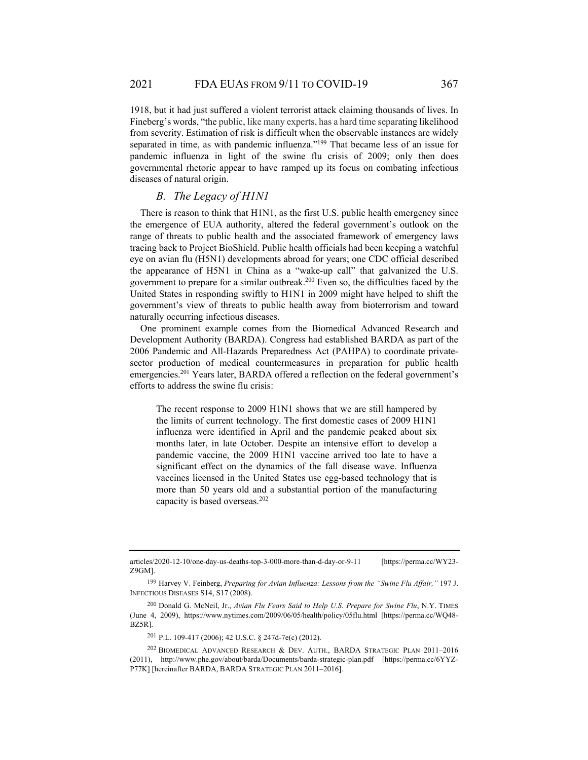1918, but it had just suffered a violent terrorist attack claiming thousands of lives. In Fineberg's words, "the public, like many experts, has a hard time separating likelihood from severity. Estimation of risk is difficult when the observable instances are widely separated in time, as with pandemic influenza."199 That became less of an issue for pandemic influenza in light of the swine flu crisis of 2009; only then does governmental rhetoric appear to have ramped up its focus on combating infectious diseases of natural origin.

#### *B. The Legacy of H1N1*

There is reason to think that H1N1, as the first U.S. public health emergency since the emergence of EUA authority, altered the federal government's outlook on the range of threats to public health and the associated framework of emergency laws tracing back to Project BioShield. Public health officials had been keeping a watchful eye on avian flu (H5N1) developments abroad for years; one CDC official described the appearance of H5N1 in China as a "wake-up call" that galvanized the U.S. government to prepare for a similar outbreak.200 Even so, the difficulties faced by the United States in responding swiftly to H1N1 in 2009 might have helped to shift the government's view of threats to public health away from bioterrorism and toward naturally occurring infectious diseases.

One prominent example comes from the Biomedical Advanced Research and Development Authority (BARDA). Congress had established BARDA as part of the 2006 Pandemic and All-Hazards Preparedness Act (PAHPA) to coordinate privatesector production of medical countermeasures in preparation for public health emergencies.201 Years later, BARDA offered a reflection on the federal government's efforts to address the swine flu crisis:

The recent response to 2009 H1N1 shows that we are still hampered by the limits of current technology. The first domestic cases of 2009 H1N1 influenza were identified in April and the pandemic peaked about six months later, in late October. Despite an intensive effort to develop a pandemic vaccine, the 2009 H1N1 vaccine arrived too late to have a significant effect on the dynamics of the fall disease wave. Influenza vaccines licensed in the United States use egg-based technology that is more than 50 years old and a substantial portion of the manufacturing capacity is based overseas.202

articles/2020-12-10/one-day-us-deaths-top-3-000-more-than-d-day-or-9-11 [https://perma.cc/WY23- Z9GM].

<sup>199</sup> Harvey V. Feinberg, *Preparing for Avian Influenza: Lessons from the "Swine Flu Affair,"* 197 J. INFECTIOUS DISEASES S14, S17 (2008).

<sup>200</sup> Donald G. McNeil, Jr., *Avian Flu Fears Said to Help U.S. Prepare for Swine Flu*, N.Y. TIMES (June 4, 2009), https://www.nytimes.com/2009/06/05/health/policy/05flu.html [https://perma.cc/WQ48- BZ5R].

<sup>201</sup> P.L. 109-417 (2006); 42 U.S.C. § 247d-7e(c) (2012).

<sup>202</sup> BIOMEDICAL ADVANCED RESEARCH & DEV. AUTH., BARDA STRATEGIC PLAN 2011–2016 (2011), http://www.phe.gov/about/barda/Documents/barda-strategic-plan.pdf [https://perma.cc/6YYZ-P77K] [hereinafter BARDA, BARDA STRATEGIC PLAN 2011–2016].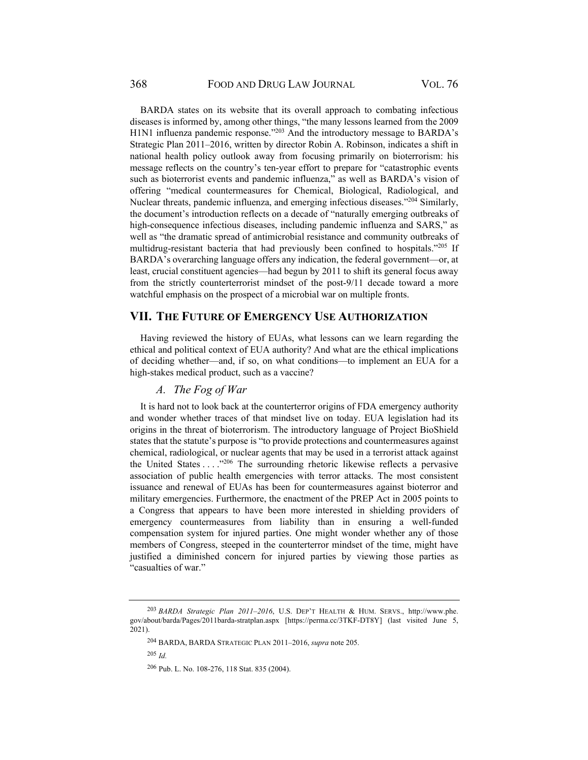BARDA states on its website that its overall approach to combating infectious diseases is informed by, among other things, "the many lessons learned from the 2009 H1N1 influenza pandemic response."<sup>203</sup> And the introductory message to BARDA's Strategic Plan 2011–2016, written by director Robin A. Robinson, indicates a shift in national health policy outlook away from focusing primarily on bioterrorism: his message reflects on the country's ten-year effort to prepare for "catastrophic events such as bioterrorist events and pandemic influenza," as well as BARDA's vision of offering "medical countermeasures for Chemical, Biological, Radiological, and Nuclear threats, pandemic influenza, and emerging infectious diseases."204 Similarly, the document's introduction reflects on a decade of "naturally emerging outbreaks of high-consequence infectious diseases, including pandemic influenza and SARS," as well as "the dramatic spread of antimicrobial resistance and community outbreaks of multidrug-resistant bacteria that had previously been confined to hospitals."205 If BARDA's overarching language offers any indication, the federal government—or, at least, crucial constituent agencies—had begun by 2011 to shift its general focus away from the strictly counterterrorist mindset of the post-9/11 decade toward a more watchful emphasis on the prospect of a microbial war on multiple fronts.

# **VII. THE FUTURE OF EMERGENCY USE AUTHORIZATION**

Having reviewed the history of EUAs, what lessons can we learn regarding the ethical and political context of EUA authority? And what are the ethical implications of deciding whether—and, if so, on what conditions—to implement an EUA for a high-stakes medical product, such as a vaccine?

# *A. The Fog of War*

It is hard not to look back at the counterterror origins of FDA emergency authority and wonder whether traces of that mindset live on today. EUA legislation had its origins in the threat of bioterrorism. The introductory language of Project BioShield states that the statute's purpose is "to provide protections and countermeasures against chemical, radiological, or nuclear agents that may be used in a terrorist attack against the United States  $\dots$   $\cdot$   $\cdot$  The surrounding rhetoric likewise reflects a pervasive association of public health emergencies with terror attacks. The most consistent issuance and renewal of EUAs has been for countermeasures against bioterror and military emergencies. Furthermore, the enactment of the PREP Act in 2005 points to a Congress that appears to have been more interested in shielding providers of emergency countermeasures from liability than in ensuring a well-funded compensation system for injured parties. One might wonder whether any of those members of Congress, steeped in the counterterror mindset of the time, might have justified a diminished concern for injured parties by viewing those parties as "casualties of war."

<sup>203</sup> *BARDA Strategic Plan 2011–2016*, U.S. DEP'T HEALTH & HUM. SERVS., http://www.phe. gov/about/barda/Pages/2011barda-stratplan.aspx [https://perma.cc/3TKF-DT8Y] (last visited June 5, 2021).

<sup>204</sup> BARDA, BARDA STRATEGIC PLAN 2011–2016, *supra* note 205.

<sup>205</sup> *Id.*

<sup>206</sup> Pub. L. No. 108-276, 118 Stat. 835 (2004).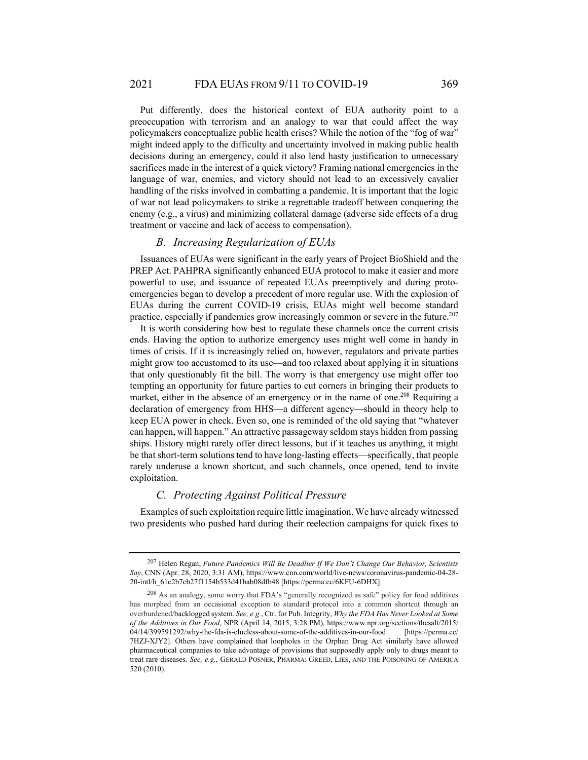Put differently, does the historical context of EUA authority point to a preoccupation with terrorism and an analogy to war that could affect the way policymakers conceptualize public health crises? While the notion of the "fog of war" might indeed apply to the difficulty and uncertainty involved in making public health decisions during an emergency, could it also lend hasty justification to unnecessary sacrifices made in the interest of a quick victory? Framing national emergencies in the language of war, enemies, and victory should not lead to an excessively cavalier handling of the risks involved in combatting a pandemic. It is important that the logic of war not lead policymakers to strike a regrettable tradeoff between conquering the enemy (e.g., a virus) and minimizing collateral damage (adverse side effects of a drug treatment or vaccine and lack of access to compensation).

#### *B. Increasing Regularization of EUAs*

Issuances of EUAs were significant in the early years of Project BioShield and the PREP Act. PAHPRA significantly enhanced EUA protocol to make it easier and more powerful to use, and issuance of repeated EUAs preemptively and during protoemergencies began to develop a precedent of more regular use. With the explosion of EUAs during the current COVID-19 crisis, EUAs might well become standard practice, especially if pandemics grow increasingly common or severe in the future.<sup>207</sup>

It is worth considering how best to regulate these channels once the current crisis ends. Having the option to authorize emergency uses might well come in handy in times of crisis. If it is increasingly relied on, however, regulators and private parties might grow too accustomed to its use—and too relaxed about applying it in situations that only questionably fit the bill. The worry is that emergency use might offer too tempting an opportunity for future parties to cut corners in bringing their products to market, either in the absence of an emergency or in the name of one.<sup>208</sup> Requiring a declaration of emergency from HHS—a different agency—should in theory help to keep EUA power in check. Even so, one is reminded of the old saying that "whatever can happen, will happen." An attractive passageway seldom stays hidden from passing ships. History might rarely offer direct lessons, but if it teaches us anything, it might be that short-term solutions tend to have long-lasting effects—specifically, that people rarely underuse a known shortcut, and such channels, once opened, tend to invite exploitation.

## *C. Protecting Against Political Pressure*

Examples of such exploitation require little imagination. We have already witnessed two presidents who pushed hard during their reelection campaigns for quick fixes to

<sup>207</sup> Helen Regan, *Future Pandemics Will Be Deadlier If We Don't Change Our Behavior, Scientists Say*, CNN (Apr. 28, 2020, 3:31 AM), https://www.cnn.com/world/live-news/coronavirus-pandemic-04-28- 20-intl/h\_61c2b7cb27f1154b533d41bab08dfb48 [https://perma.cc/6KFU-6DHX].

<sup>208</sup> As an analogy, some worry that FDA's "generally recognized as safe" policy for food additives has morphed from an occasional exception to standard protocol into a common shortcut through an overburdened/backlogged system. *See, e.g.*, Ctr. for Pub. Integrity, *Why the FDA Has Never Looked at Some of the Additives in Our Food*, NPR (April 14, 2015, 3:28 PM), https://www.npr.org/sections/thesalt/2015/ 04/14/399591292/why-the-fda-is-clueless-about-some-of-the-additives-in-our-food [https://perma.cc/ 7HZJ-XJY2]. Others have complained that loopholes in the Orphan Drug Act similarly have allowed pharmaceutical companies to take advantage of provisions that supposedly apply only to drugs meant to treat rare diseases. *See, e.g.*, GERALD POSNER, PHARMA: GREED, LIES, AND THE POISONING OF AMERICA 520 (2010).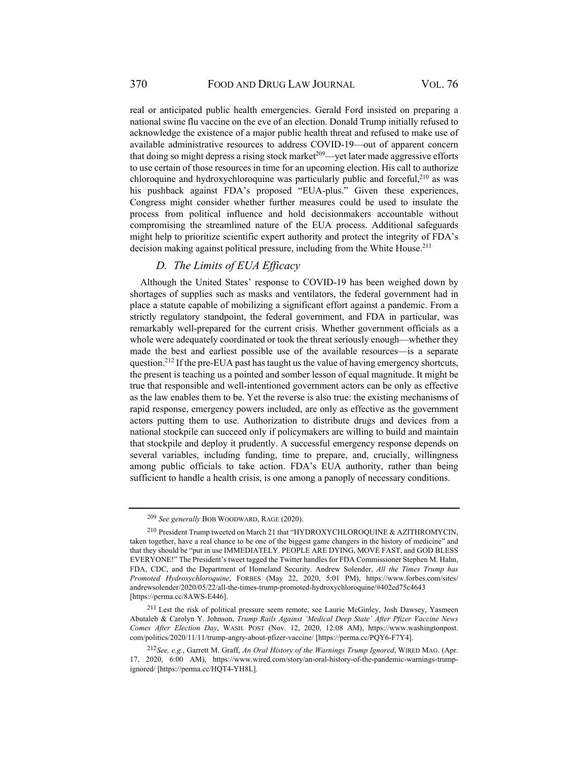real or anticipated public health emergencies. Gerald Ford insisted on preparing a national swine flu vaccine on the eve of an election. Donald Trump initially refused to acknowledge the existence of a major public health threat and refused to make use of available administrative resources to address COVID-19—out of apparent concern that doing so might depress a rising stock market<sup>209</sup>—yet later made aggressive efforts to use certain of those resources in time for an upcoming election. His call to authorize chloroquine and hydroxychloroquine was particularly public and forceful, $210$  as was his pushback against FDA's proposed "EUA-plus." Given these experiences, Congress might consider whether further measures could be used to insulate the process from political influence and hold decisionmakers accountable without compromising the streamlined nature of the EUA process. Additional safeguards might help to prioritize scientific expert authority and protect the integrity of FDA's decision making against political pressure, including from the White House.<sup>211</sup>

# *D. The Limits of EUA Efficacy*

Although the United States' response to COVID-19 has been weighed down by shortages of supplies such as masks and ventilators, the federal government had in place a statute capable of mobilizing a significant effort against a pandemic. From a strictly regulatory standpoint, the federal government, and FDA in particular, was remarkably well-prepared for the current crisis. Whether government officials as a whole were adequately coordinated or took the threat seriously enough—whether they made the best and earliest possible use of the available resources—is a separate question.<sup>212</sup> If the pre-EUA past has taught us the value of having emergency shortcuts, the present is teaching us a pointed and somber lesson of equal magnitude. It might be true that responsible and well-intentioned government actors can be only as effective as the law enables them to be. Yet the reverse is also true: the existing mechanisms of rapid response, emergency powers included, are only as effective as the government actors putting them to use. Authorization to distribute drugs and devices from a national stockpile can succeed only if policymakers are willing to build and maintain that stockpile and deploy it prudently. A successful emergency response depends on several variables, including funding, time to prepare, and, crucially, willingness among public officials to take action. FDA's EUA authority, rather than being sufficient to handle a health crisis, is one among a panoply of necessary conditions.

<sup>209</sup> *See generally* BOB WOODWARD, RAGE (2020).

<sup>210</sup> President Trump tweeted on March 21 that "HYDROXYCHLOROQUINE & AZITHROMYCIN, taken together, have a real chance to be one of the biggest game changers in the history of medicine" and that they should be "put in use IMMEDIATELY. PEOPLE ARE DYING, MOVE FAST, and GOD BLESS EVERYONE!" The President's tweet tagged the Twitter handles for FDA Commissioner Stephen M. Hahn, FDA, CDC, and the Department of Homeland Security. Andrew Solender, *All the Times Trump has Promoted Hydroxychloroquine*, FORBES (May 22, 2020, 5:01 PM), https://www.forbes.com/sites/ andrewsolender/2020/05/22/all-the-times-trump-promoted-hydroxychloroquine/#402ed75c4643 [https://perma.cc/8AWS-E446].

<sup>211</sup> Lest the risk of political pressure seem remote, see Laurie McGinley, Josh Dawsey, Yasmeen Abutaleb & Carolyn Y. Johnson, *Trump Rails Against 'Medical Deep State' After Pfizer Vaccine News Comes After Election Day*, WASH. POST (Nov. 12, 2020, 12:08 AM), https://www.washingtonpost. com/politics/2020/11/11/trump-angry-about-pfizer-vaccine/ [https://perma.cc/PQY6-F7Y4].

<sup>212</sup> *See, e.g.*, Garrett M. Graff, *An Oral History of the Warnings Trump Ignored*, WIRED MAG. (Apr. 17, 2020, 6:00 AM), https://www.wired.com/story/an-oral-history-of-the-pandemic-warnings-trumpignored/ [https://perma.cc/HQT4-YH8L].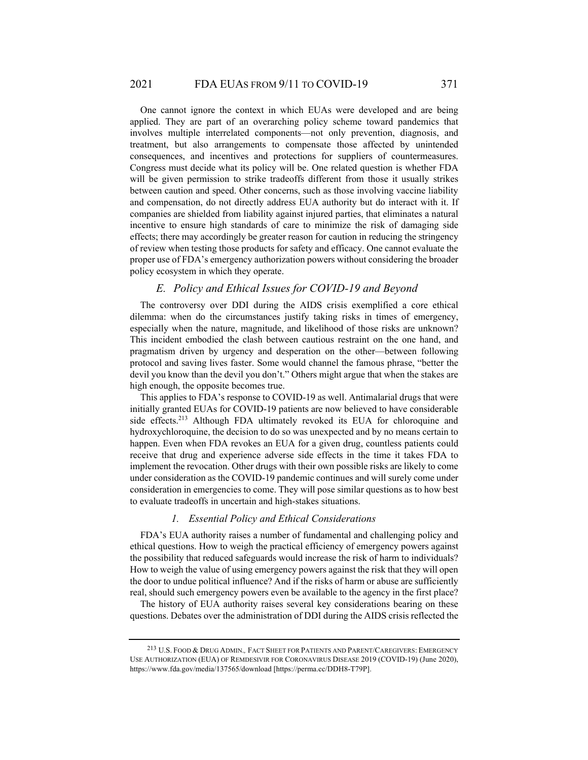One cannot ignore the context in which EUAs were developed and are being applied. They are part of an overarching policy scheme toward pandemics that involves multiple interrelated components—not only prevention, diagnosis, and treatment, but also arrangements to compensate those affected by unintended consequences, and incentives and protections for suppliers of countermeasures. Congress must decide what its policy will be. One related question is whether FDA will be given permission to strike tradeoffs different from those it usually strikes between caution and speed. Other concerns, such as those involving vaccine liability and compensation, do not directly address EUA authority but do interact with it. If companies are shielded from liability against injured parties, that eliminates a natural incentive to ensure high standards of care to minimize the risk of damaging side effects; there may accordingly be greater reason for caution in reducing the stringency of review when testing those products for safety and efficacy. One cannot evaluate the proper use of FDA's emergency authorization powers without considering the broader policy ecosystem in which they operate.

## *E. Policy and Ethical Issues for COVID-19 and Beyond*

The controversy over DDI during the AIDS crisis exemplified a core ethical dilemma: when do the circumstances justify taking risks in times of emergency, especially when the nature, magnitude, and likelihood of those risks are unknown? This incident embodied the clash between cautious restraint on the one hand, and pragmatism driven by urgency and desperation on the other—between following protocol and saving lives faster. Some would channel the famous phrase, "better the devil you know than the devil you don't." Others might argue that when the stakes are high enough, the opposite becomes true.

This applies to FDA's response to COVID-19 as well. Antimalarial drugs that were initially granted EUAs for COVID-19 patients are now believed to have considerable side effects.213 Although FDA ultimately revoked its EUA for chloroquine and hydroxychloroquine, the decision to do so was unexpected and by no means certain to happen. Even when FDA revokes an EUA for a given drug, countless patients could receive that drug and experience adverse side effects in the time it takes FDA to implement the revocation. Other drugs with their own possible risks are likely to come under consideration as the COVID-19 pandemic continues and will surely come under consideration in emergencies to come. They will pose similar questions as to how best to evaluate tradeoffs in uncertain and high-stakes situations.

#### *1. Essential Policy and Ethical Considerations*

FDA's EUA authority raises a number of fundamental and challenging policy and ethical questions. How to weigh the practical efficiency of emergency powers against the possibility that reduced safeguards would increase the risk of harm to individuals? How to weigh the value of using emergency powers against the risk that they will open the door to undue political influence? And if the risks of harm or abuse are sufficiently real, should such emergency powers even be available to the agency in the first place?

The history of EUA authority raises several key considerations bearing on these questions. Debates over the administration of DDI during the AIDS crisis reflected the

<sup>213</sup> U.S. FOOD & DRUG ADMIN.*,* FACT SHEET FOR PATIENTS AND PARENT/CAREGIVERS: EMERGENCY USE AUTHORIZATION (EUA) OF REMDESIVIR FOR CORONAVIRUS DISEASE 2019 (COVID-19) (June 2020), https://www.fda.gov/media/137565/download [https://perma.cc/DDH8-T79P].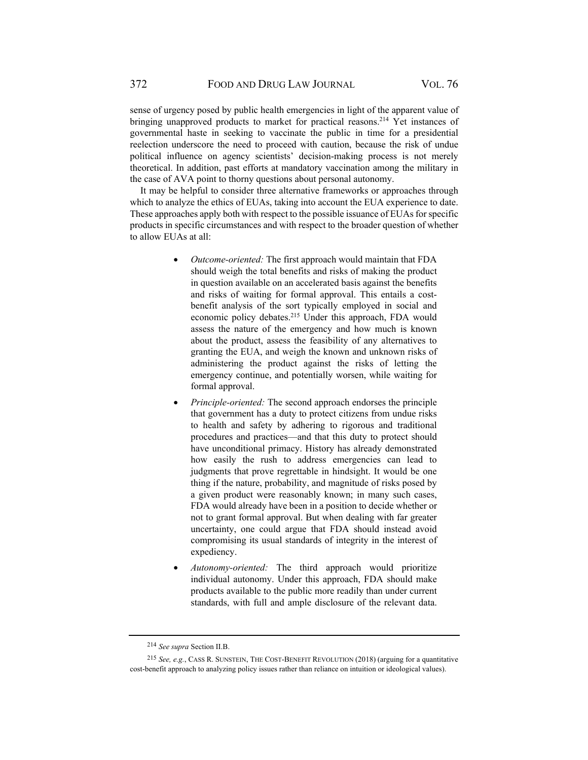sense of urgency posed by public health emergencies in light of the apparent value of bringing unapproved products to market for practical reasons.<sup>214</sup> Yet instances of governmental haste in seeking to vaccinate the public in time for a presidential reelection underscore the need to proceed with caution, because the risk of undue political influence on agency scientists' decision-making process is not merely theoretical. In addition, past efforts at mandatory vaccination among the military in the case of AVA point to thorny questions about personal autonomy.

It may be helpful to consider three alternative frameworks or approaches through which to analyze the ethics of EUAs, taking into account the EUA experience to date. These approaches apply both with respect to the possible issuance of EUAs for specific products in specific circumstances and with respect to the broader question of whether to allow EUAs at all:

- *Outcome-oriented:* The first approach would maintain that FDA should weigh the total benefits and risks of making the product in question available on an accelerated basis against the benefits and risks of waiting for formal approval. This entails a costbenefit analysis of the sort typically employed in social and economic policy debates.215 Under this approach, FDA would assess the nature of the emergency and how much is known about the product, assess the feasibility of any alternatives to granting the EUA, and weigh the known and unknown risks of administering the product against the risks of letting the emergency continue, and potentially worsen, while waiting for formal approval.
- *Principle-oriented:* The second approach endorses the principle that government has a duty to protect citizens from undue risks to health and safety by adhering to rigorous and traditional procedures and practices—and that this duty to protect should have unconditional primacy. History has already demonstrated how easily the rush to address emergencies can lead to judgments that prove regrettable in hindsight. It would be one thing if the nature, probability, and magnitude of risks posed by a given product were reasonably known; in many such cases, FDA would already have been in a position to decide whether or not to grant formal approval. But when dealing with far greater uncertainty, one could argue that FDA should instead avoid compromising its usual standards of integrity in the interest of expediency.
- *Autonomy-oriented:* The third approach would prioritize individual autonomy. Under this approach, FDA should make products available to the public more readily than under current standards, with full and ample disclosure of the relevant data.

<sup>214</sup> *See supra* Section II.B.

<sup>215</sup> *See, e.g.*, CASS R. SUNSTEIN, THE COST-BENEFIT REVOLUTION (2018) (arguing for a quantitative cost-benefit approach to analyzing policy issues rather than reliance on intuition or ideological values).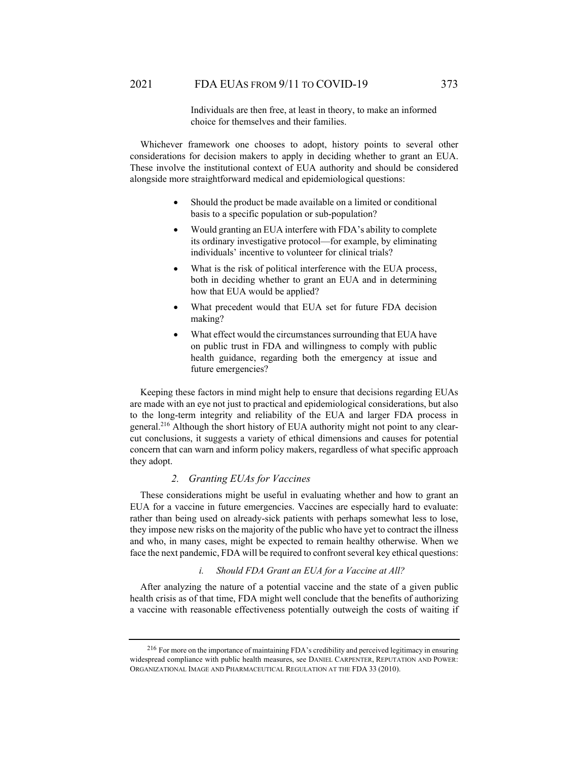Individuals are then free, at least in theory, to make an informed choice for themselves and their families.

Whichever framework one chooses to adopt, history points to several other considerations for decision makers to apply in deciding whether to grant an EUA. These involve the institutional context of EUA authority and should be considered alongside more straightforward medical and epidemiological questions:

- Should the product be made available on a limited or conditional basis to a specific population or sub-population?
- Would granting an EUA interfere with FDA's ability to complete its ordinary investigative protocol—for example, by eliminating individuals' incentive to volunteer for clinical trials?
- What is the risk of political interference with the EUA process, both in deciding whether to grant an EUA and in determining how that EUA would be applied?
- What precedent would that EUA set for future FDA decision making?
- What effect would the circumstances surrounding that EUA have on public trust in FDA and willingness to comply with public health guidance, regarding both the emergency at issue and future emergencies?

Keeping these factors in mind might help to ensure that decisions regarding EUAs are made with an eye not just to practical and epidemiological considerations, but also to the long-term integrity and reliability of the EUA and larger FDA process in general.216 Although the short history of EUA authority might not point to any clearcut conclusions, it suggests a variety of ethical dimensions and causes for potential concern that can warn and inform policy makers, regardless of what specific approach they adopt.

#### *2. Granting EUAs for Vaccines*

These considerations might be useful in evaluating whether and how to grant an EUA for a vaccine in future emergencies. Vaccines are especially hard to evaluate: rather than being used on already-sick patients with perhaps somewhat less to lose, they impose new risks on the majority of the public who have yet to contract the illness and who, in many cases, might be expected to remain healthy otherwise. When we face the next pandemic, FDA will be required to confront several key ethical questions:

#### *i. Should FDA Grant an EUA for a Vaccine at All?*

After analyzing the nature of a potential vaccine and the state of a given public health crisis as of that time, FDA might well conclude that the benefits of authorizing a vaccine with reasonable effectiveness potentially outweigh the costs of waiting if

<sup>216</sup> For more on the importance of maintaining FDA's credibility and perceived legitimacy in ensuring widespread compliance with public health measures, see DANIEL CARPENTER, REPUTATION AND POWER: ORGANIZATIONAL IMAGE AND PHARMACEUTICAL REGULATION AT THE FDA 33 (2010).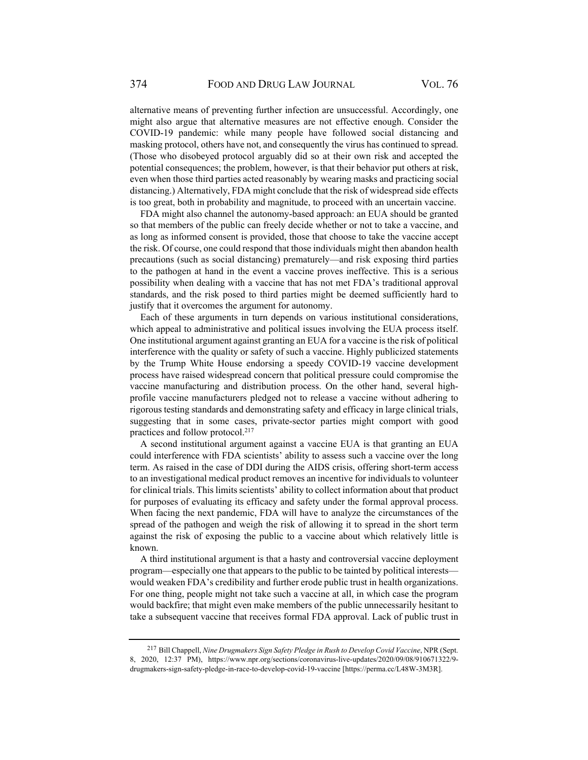alternative means of preventing further infection are unsuccessful. Accordingly, one might also argue that alternative measures are not effective enough. Consider the COVID-19 pandemic: while many people have followed social distancing and masking protocol, others have not, and consequently the virus has continued to spread. (Those who disobeyed protocol arguably did so at their own risk and accepted the potential consequences; the problem, however, is that their behavior put others at risk, even when those third parties acted reasonably by wearing masks and practicing social distancing.) Alternatively, FDA might conclude that the risk of widespread side effects is too great, both in probability and magnitude, to proceed with an uncertain vaccine.

FDA might also channel the autonomy-based approach: an EUA should be granted so that members of the public can freely decide whether or not to take a vaccine, and as long as informed consent is provided, those that choose to take the vaccine accept the risk. Of course, one could respond that those individuals might then abandon health precautions (such as social distancing) prematurely—and risk exposing third parties to the pathogen at hand in the event a vaccine proves ineffective. This is a serious possibility when dealing with a vaccine that has not met FDA's traditional approval standards, and the risk posed to third parties might be deemed sufficiently hard to justify that it overcomes the argument for autonomy.

Each of these arguments in turn depends on various institutional considerations, which appeal to administrative and political issues involving the EUA process itself. One institutional argument against granting an EUA for a vaccine is the risk of political interference with the quality or safety of such a vaccine. Highly publicized statements by the Trump White House endorsing a speedy COVID-19 vaccine development process have raised widespread concern that political pressure could compromise the vaccine manufacturing and distribution process. On the other hand, several highprofile vaccine manufacturers pledged not to release a vaccine without adhering to rigorous testing standards and demonstrating safety and efficacy in large clinical trials, suggesting that in some cases, private-sector parties might comport with good practices and follow protocol.<sup>217</sup>

A second institutional argument against a vaccine EUA is that granting an EUA could interference with FDA scientists' ability to assess such a vaccine over the long term. As raised in the case of DDI during the AIDS crisis, offering short-term access to an investigational medical product removes an incentive for individuals to volunteer for clinical trials. This limits scientists' ability to collect information about that product for purposes of evaluating its efficacy and safety under the formal approval process. When facing the next pandemic, FDA will have to analyze the circumstances of the spread of the pathogen and weigh the risk of allowing it to spread in the short term against the risk of exposing the public to a vaccine about which relatively little is known.

A third institutional argument is that a hasty and controversial vaccine deployment program—especially one that appears to the public to be tainted by political interests would weaken FDA's credibility and further erode public trust in health organizations. For one thing, people might not take such a vaccine at all, in which case the program would backfire; that might even make members of the public unnecessarily hesitant to take a subsequent vaccine that receives formal FDA approval. Lack of public trust in

<sup>217</sup> Bill Chappell, *Nine Drugmakers Sign Safety Pledge in Rush to Develop Covid Vaccine*, NPR (Sept. 8, 2020, 12:37 PM), https://www.npr.org/sections/coronavirus-live-updates/2020/09/08/910671322/9 drugmakers-sign-safety-pledge-in-race-to-develop-covid-19-vaccine [https://perma.cc/L48W-3M3R].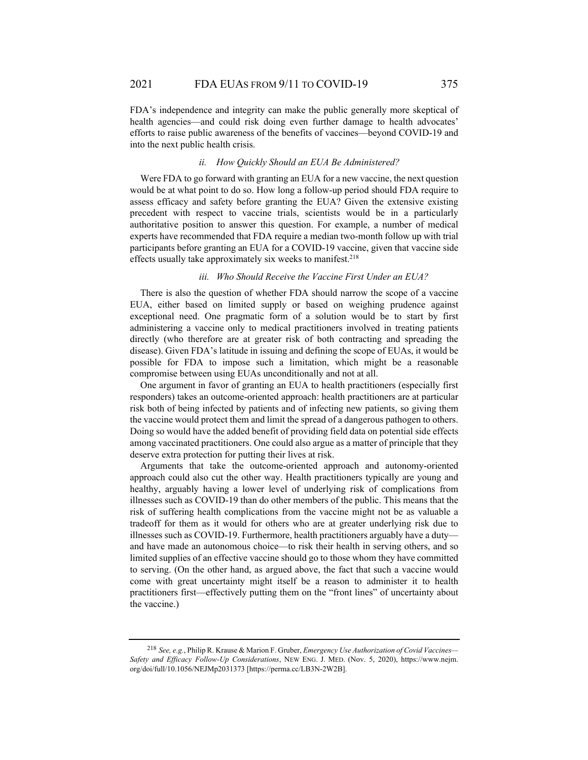FDA's independence and integrity can make the public generally more skeptical of health agencies—and could risk doing even further damage to health advocates' efforts to raise public awareness of the benefits of vaccines—beyond COVID-19 and into the next public health crisis.

#### *ii. How Quickly Should an EUA Be Administered?*

Were FDA to go forward with granting an EUA for a new vaccine, the next question would be at what point to do so. How long a follow-up period should FDA require to assess efficacy and safety before granting the EUA? Given the extensive existing precedent with respect to vaccine trials, scientists would be in a particularly authoritative position to answer this question. For example, a number of medical experts have recommended that FDA require a median two-month follow up with trial participants before granting an EUA for a COVID-19 vaccine, given that vaccine side effects usually take approximately six weeks to manifest.<sup>218</sup>

# *iii. Who Should Receive the Vaccine First Under an EUA?*

There is also the question of whether FDA should narrow the scope of a vaccine EUA, either based on limited supply or based on weighing prudence against exceptional need. One pragmatic form of a solution would be to start by first administering a vaccine only to medical practitioners involved in treating patients directly (who therefore are at greater risk of both contracting and spreading the disease). Given FDA's latitude in issuing and defining the scope of EUAs, it would be possible for FDA to impose such a limitation, which might be a reasonable compromise between using EUAs unconditionally and not at all.

One argument in favor of granting an EUA to health practitioners (especially first responders) takes an outcome-oriented approach: health practitioners are at particular risk both of being infected by patients and of infecting new patients, so giving them the vaccine would protect them and limit the spread of a dangerous pathogen to others. Doing so would have the added benefit of providing field data on potential side effects among vaccinated practitioners. One could also argue as a matter of principle that they deserve extra protection for putting their lives at risk.

Arguments that take the outcome-oriented approach and autonomy-oriented approach could also cut the other way. Health practitioners typically are young and healthy, arguably having a lower level of underlying risk of complications from illnesses such as COVID-19 than do other members of the public. This means that the risk of suffering health complications from the vaccine might not be as valuable a tradeoff for them as it would for others who are at greater underlying risk due to illnesses such as COVID-19. Furthermore, health practitioners arguably have a duty and have made an autonomous choice—to risk their health in serving others, and so limited supplies of an effective vaccine should go to those whom they have committed to serving. (On the other hand, as argued above, the fact that such a vaccine would come with great uncertainty might itself be a reason to administer it to health practitioners first—effectively putting them on the "front lines" of uncertainty about the vaccine.)

<sup>218</sup> *See, e.g.*, Philip R. Krause & Marion F. Gruber, *Emergency Use Authorization of Covid Vaccines— Safety and Efficacy Follow-Up Considerations*, NEW ENG. J. MED. (Nov. 5, 2020), https://www.nejm. org/doi/full/10.1056/NEJMp2031373 [https://perma.cc/LB3N-2W2B].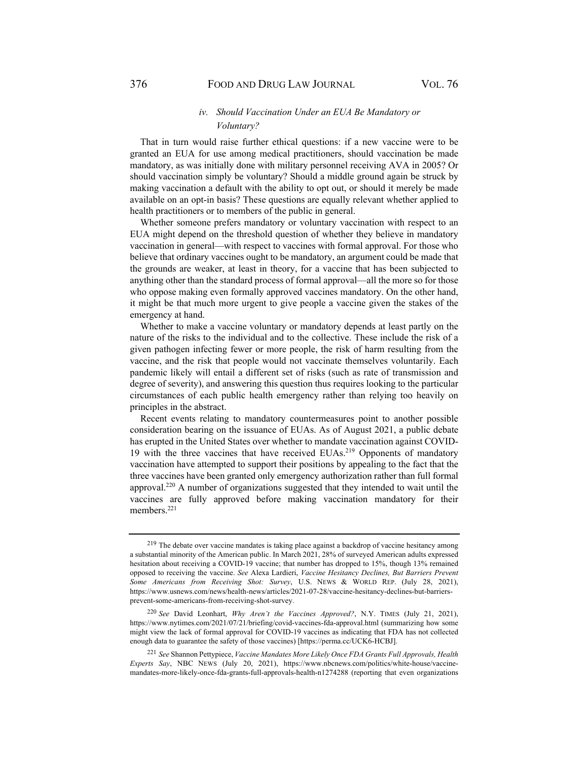## *iv. Should Vaccination Under an EUA Be Mandatory or Voluntary?*

That in turn would raise further ethical questions: if a new vaccine were to be granted an EUA for use among medical practitioners, should vaccination be made mandatory, as was initially done with military personnel receiving AVA in 2005? Or should vaccination simply be voluntary? Should a middle ground again be struck by making vaccination a default with the ability to opt out, or should it merely be made available on an opt-in basis? These questions are equally relevant whether applied to health practitioners or to members of the public in general.

Whether someone prefers mandatory or voluntary vaccination with respect to an EUA might depend on the threshold question of whether they believe in mandatory vaccination in general—with respect to vaccines with formal approval. For those who believe that ordinary vaccines ought to be mandatory, an argument could be made that the grounds are weaker, at least in theory, for a vaccine that has been subjected to anything other than the standard process of formal approval—all the more so for those who oppose making even formally approved vaccines mandatory. On the other hand, it might be that much more urgent to give people a vaccine given the stakes of the emergency at hand.

Whether to make a vaccine voluntary or mandatory depends at least partly on the nature of the risks to the individual and to the collective. These include the risk of a given pathogen infecting fewer or more people, the risk of harm resulting from the vaccine, and the risk that people would not vaccinate themselves voluntarily. Each pandemic likely will entail a different set of risks (such as rate of transmission and degree of severity), and answering this question thus requires looking to the particular circumstances of each public health emergency rather than relying too heavily on principles in the abstract.

Recent events relating to mandatory countermeasures point to another possible consideration bearing on the issuance of EUAs. As of August 2021, a public debate has erupted in the United States over whether to mandate vaccination against COVID-19 with the three vaccines that have received EUAs.<sup>219</sup> Opponents of mandatory vaccination have attempted to support their positions by appealing to the fact that the three vaccines have been granted only emergency authorization rather than full formal approval.220 A number of organizations suggested that they intended to wait until the vaccines are fully approved before making vaccination mandatory for their members.<sup>221</sup>

<sup>221</sup> *See* Shannon Pettypiece, *Vaccine Mandates More Likely Once FDA Grants Full Approvals, Health Experts Say*, NBC NEWS (July 20, 2021), https://www.nbcnews.com/politics/white-house/vaccinemandates-more-likely-once-fda-grants-full-approvals-health-n1274288 (reporting that even organizations

<sup>&</sup>lt;sup>219</sup> The debate over vaccine mandates is taking place against a backdrop of vaccine hesitancy among a substantial minority of the American public. In March 2021, 28% of surveyed American adults expressed hesitation about receiving a COVID-19 vaccine; that number has dropped to 15%, though 13% remained opposed to receiving the vaccine. *See* Alexa Lardieri, *Vaccine Hesitancy Declines, But Barriers Prevent Some Americans from Receiving Shot: Survey*, U.S. NEWS & WORLD REP. (July 28, 2021), https://www.usnews.com/news/health-news/articles/2021-07-28/vaccine-hesitancy-declines-but-barriersprevent-some-americans-from-receiving-shot-survey.

<sup>220</sup> *See* David Leonhart, *Why Aren't the Vaccines Approved?*, N.Y. TIMES (July 21, 2021), https://www.nytimes.com/2021/07/21/briefing/covid-vaccines-fda-approval.html (summarizing how some might view the lack of formal approval for COVID-19 vaccines as indicating that FDA has not collected enough data to guarantee the safety of those vaccines) [https://perma.cc/UCK6-HCBJ].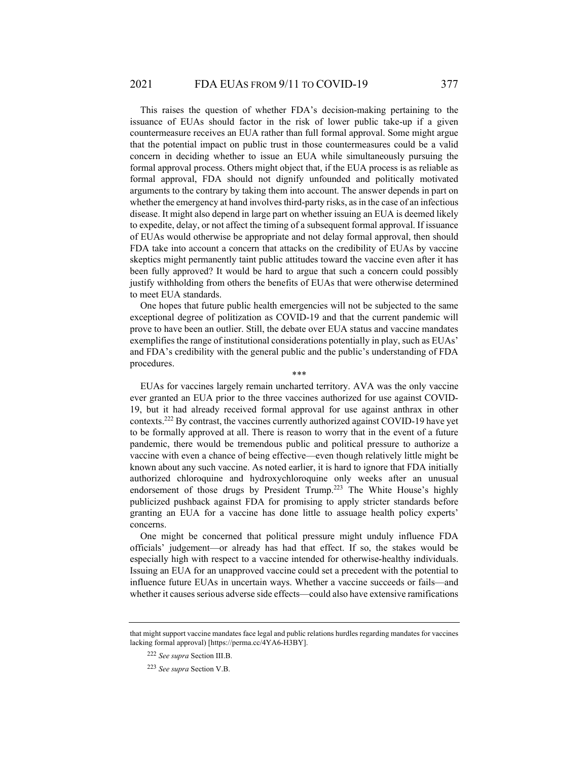This raises the question of whether FDA's decision-making pertaining to the issuance of EUAs should factor in the risk of lower public take-up if a given countermeasure receives an EUA rather than full formal approval. Some might argue that the potential impact on public trust in those countermeasures could be a valid concern in deciding whether to issue an EUA while simultaneously pursuing the formal approval process. Others might object that, if the EUA process is as reliable as formal approval, FDA should not dignify unfounded and politically motivated arguments to the contrary by taking them into account. The answer depends in part on whether the emergency at hand involves third-party risks, as in the case of an infectious disease. It might also depend in large part on whether issuing an EUA is deemed likely to expedite, delay, or not affect the timing of a subsequent formal approval. If issuance of EUAs would otherwise be appropriate and not delay formal approval, then should FDA take into account a concern that attacks on the credibility of EUAs by vaccine skeptics might permanently taint public attitudes toward the vaccine even after it has been fully approved? It would be hard to argue that such a concern could possibly justify withholding from others the benefits of EUAs that were otherwise determined to meet EUA standards.

One hopes that future public health emergencies will not be subjected to the same exceptional degree of politization as COVID-19 and that the current pandemic will prove to have been an outlier. Still, the debate over EUA status and vaccine mandates exemplifies the range of institutional considerations potentially in play, such as EUAs' and FDA's credibility with the general public and the public's understanding of FDA procedures. \*\*\*

EUAs for vaccines largely remain uncharted territory. AVA was the only vaccine ever granted an EUA prior to the three vaccines authorized for use against COVID-19, but it had already received formal approval for use against anthrax in other contexts.222 By contrast, the vaccines currently authorized against COVID-19 have yet to be formally approved at all. There is reason to worry that in the event of a future pandemic, there would be tremendous public and political pressure to authorize a vaccine with even a chance of being effective—even though relatively little might be known about any such vaccine. As noted earlier, it is hard to ignore that FDA initially authorized chloroquine and hydroxychloroquine only weeks after an unusual endorsement of those drugs by President Trump.<sup>223</sup> The White House's highly publicized pushback against FDA for promising to apply stricter standards before granting an EUA for a vaccine has done little to assuage health policy experts' concerns.

One might be concerned that political pressure might unduly influence FDA officials' judgement—or already has had that effect. If so, the stakes would be especially high with respect to a vaccine intended for otherwise-healthy individuals. Issuing an EUA for an unapproved vaccine could set a precedent with the potential to influence future EUAs in uncertain ways. Whether a vaccine succeeds or fails—and whether it causes serious adverse side effects—could also have extensive ramifications

that might support vaccine mandates face legal and public relations hurdles regarding mandates for vaccines lacking formal approval) [https://perma.cc/4YA6-H3BY].

<sup>222</sup> *See supra* Section III.B.

<sup>223</sup> *See supra* Section V.B.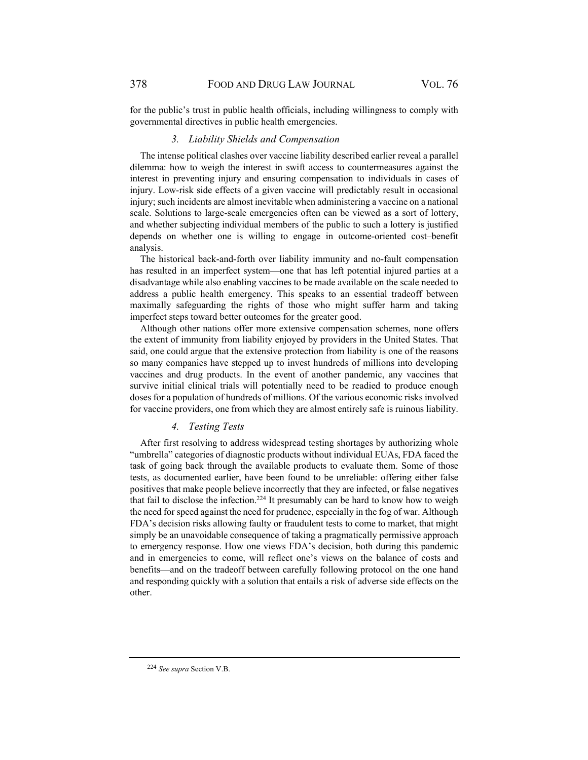for the public's trust in public health officials, including willingness to comply with governmental directives in public health emergencies.

#### *3. Liability Shields and Compensation*

The intense political clashes over vaccine liability described earlier reveal a parallel dilemma: how to weigh the interest in swift access to countermeasures against the interest in preventing injury and ensuring compensation to individuals in cases of injury. Low-risk side effects of a given vaccine will predictably result in occasional injury; such incidents are almost inevitable when administering a vaccine on a national scale. Solutions to large-scale emergencies often can be viewed as a sort of lottery, and whether subjecting individual members of the public to such a lottery is justified depends on whether one is willing to engage in outcome-oriented cost–benefit analysis.

The historical back-and-forth over liability immunity and no-fault compensation has resulted in an imperfect system—one that has left potential injured parties at a disadvantage while also enabling vaccines to be made available on the scale needed to address a public health emergency. This speaks to an essential tradeoff between maximally safeguarding the rights of those who might suffer harm and taking imperfect steps toward better outcomes for the greater good.

Although other nations offer more extensive compensation schemes, none offers the extent of immunity from liability enjoyed by providers in the United States. That said, one could argue that the extensive protection from liability is one of the reasons so many companies have stepped up to invest hundreds of millions into developing vaccines and drug products. In the event of another pandemic, any vaccines that survive initial clinical trials will potentially need to be readied to produce enough doses for a population of hundreds of millions. Of the various economic risks involved for vaccine providers, one from which they are almost entirely safe is ruinous liability.

## *4. Testing Tests*

After first resolving to address widespread testing shortages by authorizing whole "umbrella" categories of diagnostic products without individual EUAs, FDA faced the task of going back through the available products to evaluate them. Some of those tests, as documented earlier, have been found to be unreliable: offering either false positives that make people believe incorrectly that they are infected, or false negatives that fail to disclose the infection.<sup>224</sup> It presumably can be hard to know how to weigh the need for speed against the need for prudence, especially in the fog of war. Although FDA's decision risks allowing faulty or fraudulent tests to come to market, that might simply be an unavoidable consequence of taking a pragmatically permissive approach to emergency response. How one views FDA's decision, both during this pandemic and in emergencies to come, will reflect one's views on the balance of costs and benefits—and on the tradeoff between carefully following protocol on the one hand and responding quickly with a solution that entails a risk of adverse side effects on the other.

<sup>224</sup> *See supra* Section V.B.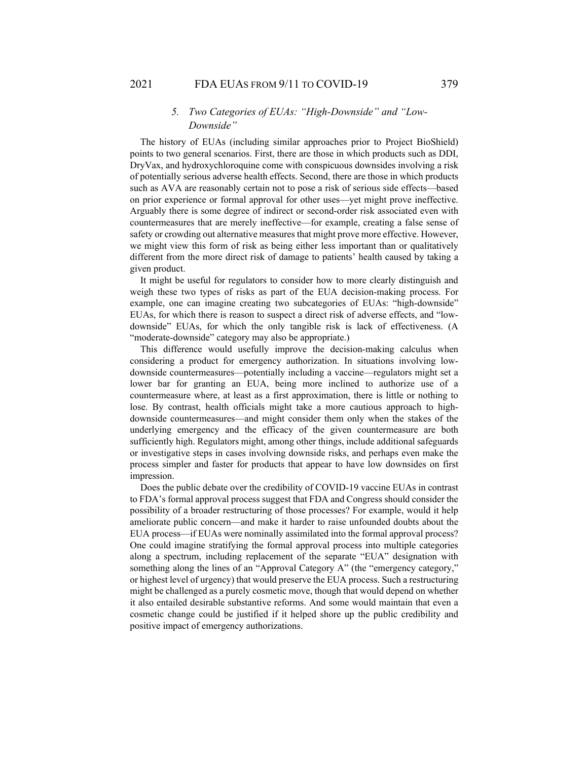# *5. Two Categories of EUAs: "High-Downside" and "Low-Downside"*

The history of EUAs (including similar approaches prior to Project BioShield) points to two general scenarios. First, there are those in which products such as DDI, DryVax, and hydroxychloroquine come with conspicuous downsides involving a risk of potentially serious adverse health effects. Second, there are those in which products such as AVA are reasonably certain not to pose a risk of serious side effects—based on prior experience or formal approval for other uses—yet might prove ineffective. Arguably there is some degree of indirect or second-order risk associated even with countermeasures that are merely ineffective—for example, creating a false sense of safety or crowding out alternative measures that might prove more effective. However, we might view this form of risk as being either less important than or qualitatively different from the more direct risk of damage to patients' health caused by taking a given product.

It might be useful for regulators to consider how to more clearly distinguish and weigh these two types of risks as part of the EUA decision-making process. For example, one can imagine creating two subcategories of EUAs: "high-downside" EUAs, for which there is reason to suspect a direct risk of adverse effects, and "lowdownside" EUAs, for which the only tangible risk is lack of effectiveness. (A "moderate-downside" category may also be appropriate.)

This difference would usefully improve the decision-making calculus when considering a product for emergency authorization. In situations involving lowdownside countermeasures—potentially including a vaccine—regulators might set a lower bar for granting an EUA, being more inclined to authorize use of a countermeasure where, at least as a first approximation, there is little or nothing to lose. By contrast, health officials might take a more cautious approach to highdownside countermeasures—and might consider them only when the stakes of the underlying emergency and the efficacy of the given countermeasure are both sufficiently high. Regulators might, among other things, include additional safeguards or investigative steps in cases involving downside risks, and perhaps even make the process simpler and faster for products that appear to have low downsides on first impression.

Does the public debate over the credibility of COVID-19 vaccine EUAs in contrast to FDA's formal approval process suggest that FDA and Congress should consider the possibility of a broader restructuring of those processes? For example, would it help ameliorate public concern—and make it harder to raise unfounded doubts about the EUA process—if EUAs were nominally assimilated into the formal approval process? One could imagine stratifying the formal approval process into multiple categories along a spectrum, including replacement of the separate "EUA" designation with something along the lines of an "Approval Category A" (the "emergency category," or highest level of urgency) that would preserve the EUA process. Such a restructuring might be challenged as a purely cosmetic move, though that would depend on whether it also entailed desirable substantive reforms. And some would maintain that even a cosmetic change could be justified if it helped shore up the public credibility and positive impact of emergency authorizations.